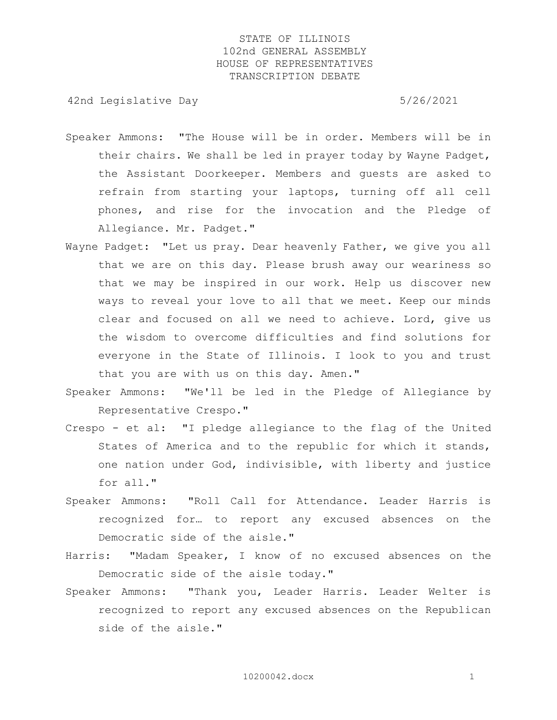42nd Legislative Day 6/26/2021

- Speaker Ammons: "The House will be in order. Members will be in their chairs. We shall be led in prayer today by Wayne Padget, the Assistant Doorkeeper. Members and guests are asked to refrain from starting your laptops, turning off all cell phones, and rise for the invocation and the Pledge of Allegiance. Mr. Padget."
- Wayne Padget: "Let us pray. Dear heavenly Father, we give you all that we are on this day. Please brush away our weariness so that we may be inspired in our work. Help us discover new ways to reveal your love to all that we meet. Keep our minds clear and focused on all we need to achieve. Lord, give us the wisdom to overcome difficulties and find solutions for everyone in the State of Illinois. I look to you and trust that you are with us on this day. Amen."
- Speaker Ammons: "We'll be led in the Pledge of Allegiance by Representative Crespo."
- Crespo et al: "I pledge allegiance to the flag of the United States of America and to the republic for which it stands, one nation under God, indivisible, with liberty and justice for all."
- Speaker Ammons: "Roll Call for Attendance. Leader Harris is recognized for… to report any excused absences on the Democratic side of the aisle."
- Harris: "Madam Speaker, I know of no excused absences on the Democratic side of the aisle today."
- Speaker Ammons: "Thank you, Leader Harris. Leader Welter is recognized to report any excused absences on the Republican side of the aisle."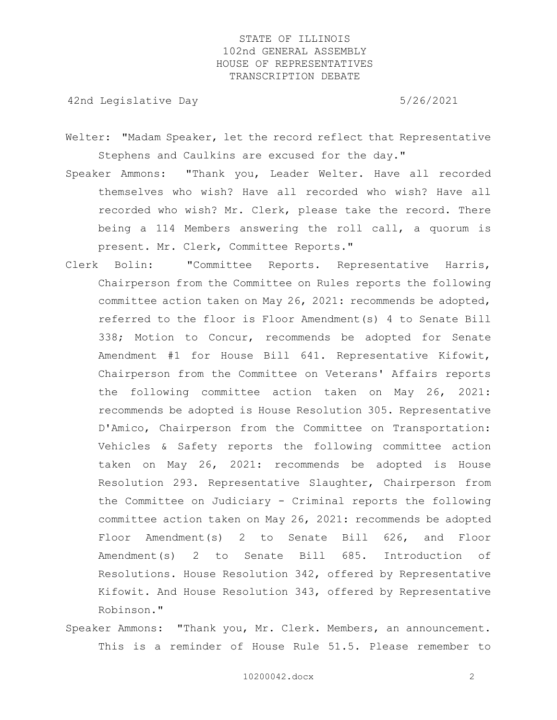42nd Legislative Day 6/26/2021

- Welter: "Madam Speaker, let the record reflect that Representative Stephens and Caulkins are excused for the day."
- Speaker Ammons: "Thank you, Leader Welter. Have all recorded themselves who wish? Have all recorded who wish? Have all recorded who wish? Mr. Clerk, please take the record. There being a 114 Members answering the roll call, a quorum is present. Mr. Clerk, Committee Reports."
- Clerk Bolin: "Committee Reports. Representative Harris, Chairperson from the Committee on Rules reports the following committee action taken on May 26, 2021: recommends be adopted, referred to the floor is Floor Amendment(s) 4 to Senate Bill 338; Motion to Concur, recommends be adopted for Senate Amendment #1 for House Bill 641. Representative Kifowit, Chairperson from the Committee on Veterans' Affairs reports the following committee action taken on May 26, 2021: recommends be adopted is House Resolution 305. Representative D'Amico, Chairperson from the Committee on Transportation: Vehicles & Safety reports the following committee action taken on May 26, 2021: recommends be adopted is House Resolution 293. Representative Slaughter, Chairperson from the Committee on Judiciary - Criminal reports the following committee action taken on May 26, 2021: recommends be adopted Floor Amendment(s) 2 to Senate Bill 626, and Floor Amendment(s) 2 to Senate Bill 685. Introduction of Resolutions. House Resolution 342, offered by Representative Kifowit. And House Resolution 343, offered by Representative Robinson."
- Speaker Ammons: "Thank you, Mr. Clerk. Members, an announcement. This is a reminder of House Rule 51.5. Please remember to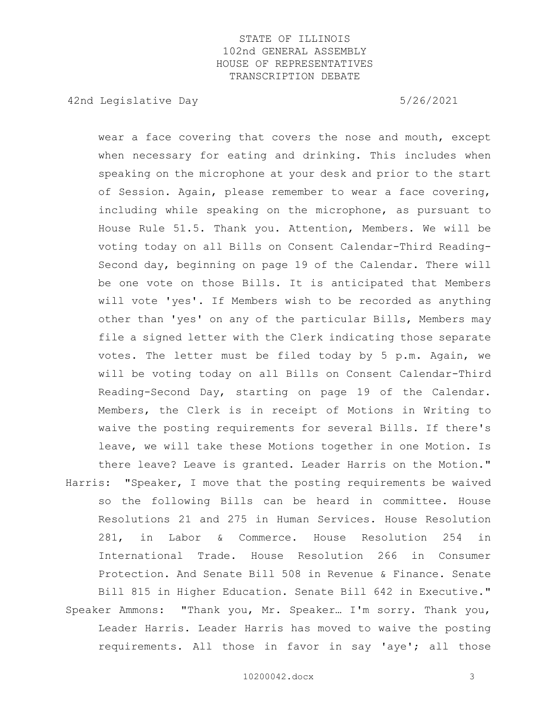42nd Legislative Day 6/26/2021

wear a face covering that covers the nose and mouth, except when necessary for eating and drinking. This includes when speaking on the microphone at your desk and prior to the start of Session. Again, please remember to wear a face covering, including while speaking on the microphone, as pursuant to House Rule 51.5. Thank you. Attention, Members. We will be voting today on all Bills on Consent Calendar-Third Reading-Second day, beginning on page 19 of the Calendar. There will be one vote on those Bills. It is anticipated that Members will vote 'yes'. If Members wish to be recorded as anything other than 'yes' on any of the particular Bills, Members may file a signed letter with the Clerk indicating those separate votes. The letter must be filed today by 5 p.m. Again, we will be voting today on all Bills on Consent Calendar-Third Reading-Second Day, starting on page 19 of the Calendar. Members, the Clerk is in receipt of Motions in Writing to waive the posting requirements for several Bills. If there's leave, we will take these Motions together in one Motion. Is there leave? Leave is granted. Leader Harris on the Motion." Harris: "Speaker, I move that the posting requirements be waived

- so the following Bills can be heard in committee. House Resolutions 21 and 275 in Human Services. House Resolution 281, in Labor & Commerce. House Resolution 254 in International Trade. House Resolution 266 in Consumer Protection. And Senate Bill 508 in Revenue & Finance. Senate Bill 815 in Higher Education. Senate Bill 642 in Executive." Speaker Ammons: "Thank you, Mr. Speaker… I'm sorry. Thank you,
	- Leader Harris. Leader Harris has moved to waive the posting requirements. All those in favor in say 'aye'; all those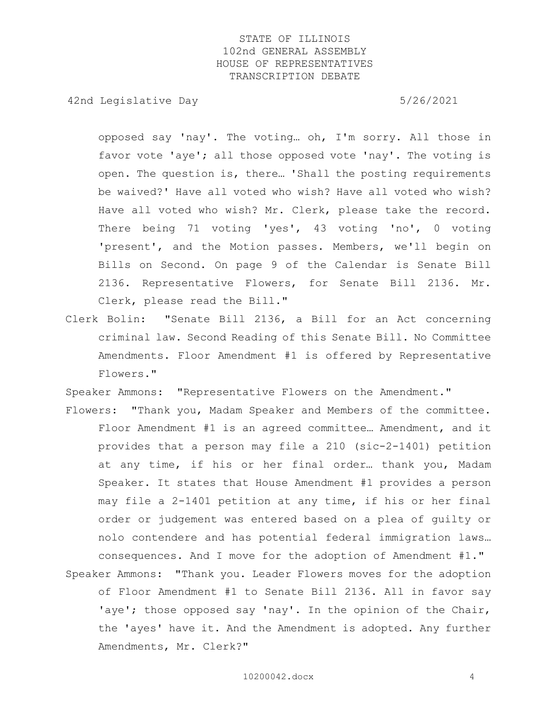42nd Legislative Day 6/26/2021

opposed say 'nay'. The voting… oh, I'm sorry. All those in favor vote 'aye'; all those opposed vote 'nay'. The voting is open. The question is, there… 'Shall the posting requirements be waived?' Have all voted who wish? Have all voted who wish? Have all voted who wish? Mr. Clerk, please take the record. There being 71 voting 'yes', 43 voting 'no', 0 voting 'present', and the Motion passes. Members, we'll begin on Bills on Second. On page 9 of the Calendar is Senate Bill 2136. Representative Flowers, for Senate Bill 2136. Mr. Clerk, please read the Bill."

Clerk Bolin: "Senate Bill 2136, a Bill for an Act concerning criminal law. Second Reading of this Senate Bill. No Committee Amendments. Floor Amendment #1 is offered by Representative Flowers."

Speaker Ammons: "Representative Flowers on the Amendment."

Flowers: "Thank you, Madam Speaker and Members of the committee. Floor Amendment #1 is an agreed committee… Amendment, and it provides that a person may file a 210 (sic-2-1401) petition at any time, if his or her final order… thank you, Madam Speaker. It states that House Amendment #1 provides a person may file a 2-1401 petition at any time, if his or her final order or judgement was entered based on a plea of guilty or nolo contendere and has potential federal immigration laws… consequences. And I move for the adoption of Amendment #1." Speaker Ammons: "Thank you. Leader Flowers moves for the adoption

of Floor Amendment #1 to Senate Bill 2136. All in favor say 'aye'; those opposed say 'nay'. In the opinion of the Chair, the 'ayes' have it. And the Amendment is adopted. Any further Amendments, Mr. Clerk?"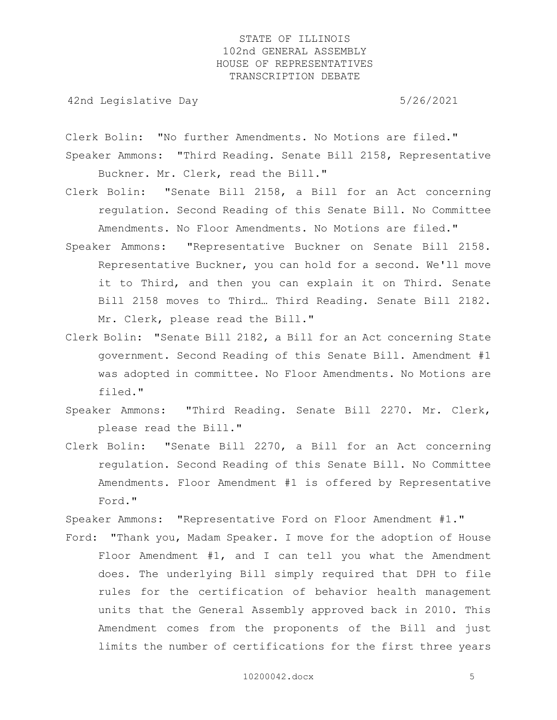42nd Legislative Day 6.1 and 5/26/2021

Clerk Bolin: "No further Amendments. No Motions are filed." Speaker Ammons: "Third Reading. Senate Bill 2158, Representative

Buckner. Mr. Clerk, read the Bill."

- Clerk Bolin: "Senate Bill 2158, a Bill for an Act concerning regulation. Second Reading of this Senate Bill. No Committee Amendments. No Floor Amendments. No Motions are filed."
- Speaker Ammons: "Representative Buckner on Senate Bill 2158. Representative Buckner, you can hold for a second. We'll move it to Third, and then you can explain it on Third. Senate Bill 2158 moves to Third… Third Reading. Senate Bill 2182. Mr. Clerk, please read the Bill."
- Clerk Bolin: "Senate Bill 2182, a Bill for an Act concerning State government. Second Reading of this Senate Bill. Amendment #1 was adopted in committee. No Floor Amendments. No Motions are filed."
- Speaker Ammons: "Third Reading. Senate Bill 2270. Mr. Clerk, please read the Bill."
- Clerk Bolin: "Senate Bill 2270, a Bill for an Act concerning regulation. Second Reading of this Senate Bill. No Committee Amendments. Floor Amendment #1 is offered by Representative Ford."

Speaker Ammons: "Representative Ford on Floor Amendment #1."

Ford: "Thank you, Madam Speaker. I move for the adoption of House Floor Amendment #1, and I can tell you what the Amendment does. The underlying Bill simply required that DPH to file rules for the certification of behavior health management units that the General Assembly approved back in 2010. This Amendment comes from the proponents of the Bill and just limits the number of certifications for the first three years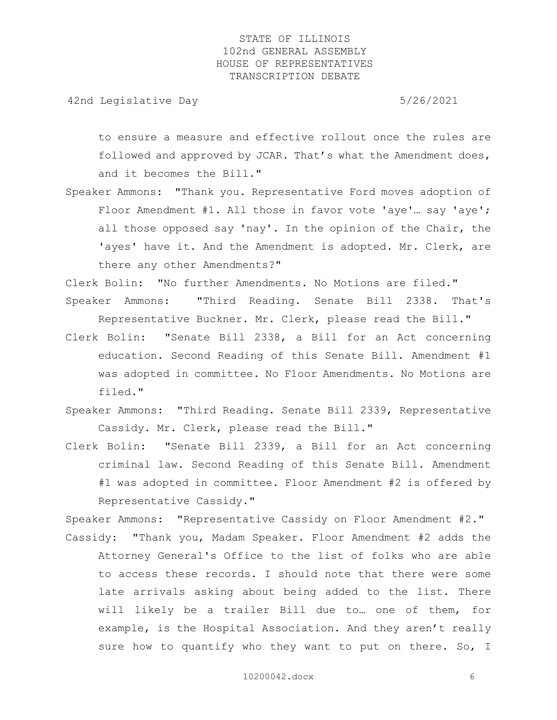42nd Legislative Day 6.1 and 5/26/2021

to ensure a measure and effective rollout once the rules are followed and approved by JCAR. That's what the Amendment does, and it becomes the Bill."

Speaker Ammons: "Thank you. Representative Ford moves adoption of Floor Amendment #1. All those in favor vote 'aye'... say 'aye'; all those opposed say 'nay'. In the opinion of the Chair, the 'ayes' have it. And the Amendment is adopted. Mr. Clerk, are there any other Amendments?"

Clerk Bolin: "No further Amendments. No Motions are filed." Speaker Ammons: "Third Reading. Senate Bill 2338. That's Representative Buckner. Mr. Clerk, please read the Bill."

- Clerk Bolin: "Senate Bill 2338, a Bill for an Act concerning education. Second Reading of this Senate Bill. Amendment #1 was adopted in committee. No Floor Amendments. No Motions are filed."
- Speaker Ammons: "Third Reading. Senate Bill 2339, Representative Cassidy. Mr. Clerk, please read the Bill."
- Clerk Bolin: "Senate Bill 2339, a Bill for an Act concerning criminal law. Second Reading of this Senate Bill. Amendment #1 was adopted in committee. Floor Amendment #2 is offered by Representative Cassidy."

Speaker Ammons: "Representative Cassidy on Floor Amendment #2." Cassidy: "Thank you, Madam Speaker. Floor Amendment #2 adds the Attorney General's Office to the list of folks who are able to access these records. I should note that there were some late arrivals asking about being added to the list. There will likely be a trailer Bill due to… one of them, for example, is the Hospital Association. And they aren't really sure how to quantify who they want to put on there. So, I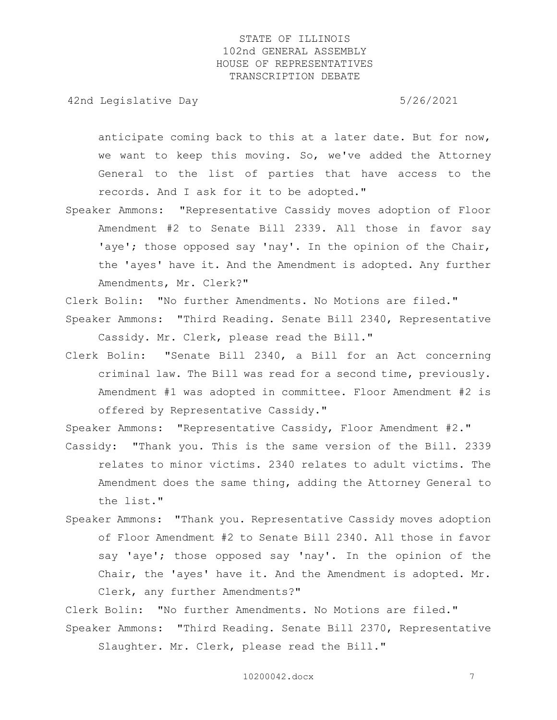42nd Legislative Day 6/26/2021

anticipate coming back to this at a later date. But for now, we want to keep this moving. So, we've added the Attorney General to the list of parties that have access to the records. And I ask for it to be adopted."

Speaker Ammons: "Representative Cassidy moves adoption of Floor Amendment #2 to Senate Bill 2339. All those in favor say 'aye'; those opposed say 'nay'. In the opinion of the Chair, the 'ayes' have it. And the Amendment is adopted. Any further Amendments, Mr. Clerk?"

Clerk Bolin: "No further Amendments. No Motions are filed."

Speaker Ammons: "Third Reading. Senate Bill 2340, Representative Cassidy. Mr. Clerk, please read the Bill."

Clerk Bolin: "Senate Bill 2340, a Bill for an Act concerning criminal law. The Bill was read for a second time, previously. Amendment #1 was adopted in committee. Floor Amendment #2 is offered by Representative Cassidy."

Speaker Ammons: "Representative Cassidy, Floor Amendment #2."

- Cassidy: "Thank you. This is the same version of the Bill. 2339 relates to minor victims. 2340 relates to adult victims. The Amendment does the same thing, adding the Attorney General to the list."
- Speaker Ammons: "Thank you. Representative Cassidy moves adoption of Floor Amendment #2 to Senate Bill 2340. All those in favor say 'aye'; those opposed say 'nay'. In the opinion of the Chair, the 'ayes' have it. And the Amendment is adopted. Mr. Clerk, any further Amendments?"

Clerk Bolin: "No further Amendments. No Motions are filed." Speaker Ammons: "Third Reading. Senate Bill 2370, Representative Slaughter. Mr. Clerk, please read the Bill."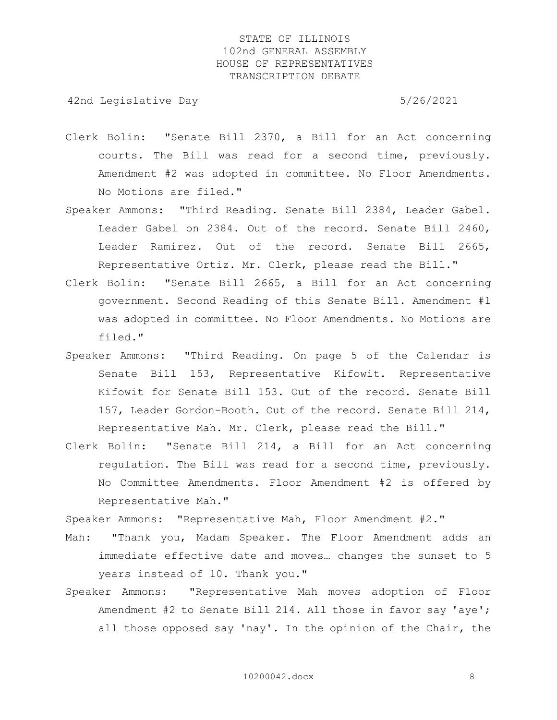42nd Legislative Day 6/26/2021

- Clerk Bolin: "Senate Bill 2370, a Bill for an Act concerning courts. The Bill was read for a second time, previously. Amendment #2 was adopted in committee. No Floor Amendments. No Motions are filed."
- Speaker Ammons: "Third Reading. Senate Bill 2384, Leader Gabel. Leader Gabel on 2384. Out of the record. Senate Bill 2460, Leader Ramirez. Out of the record. Senate Bill 2665, Representative Ortiz. Mr. Clerk, please read the Bill."
- Clerk Bolin: "Senate Bill 2665, a Bill for an Act concerning government. Second Reading of this Senate Bill. Amendment #1 was adopted in committee. No Floor Amendments. No Motions are filed."
- Speaker Ammons: "Third Reading. On page 5 of the Calendar is Senate Bill 153, Representative Kifowit. Representative Kifowit for Senate Bill 153. Out of the record. Senate Bill 157, Leader Gordon-Booth. Out of the record. Senate Bill 214, Representative Mah. Mr. Clerk, please read the Bill."
- Clerk Bolin: "Senate Bill 214, a Bill for an Act concerning regulation. The Bill was read for a second time, previously. No Committee Amendments. Floor Amendment #2 is offered by Representative Mah."

Speaker Ammons: "Representative Mah, Floor Amendment #2."

- Mah: "Thank you, Madam Speaker. The Floor Amendment adds an immediate effective date and moves… changes the sunset to 5 years instead of 10. Thank you."
- Speaker Ammons: "Representative Mah moves adoption of Floor Amendment #2 to Senate Bill 214. All those in favor say 'aye'; all those opposed say 'nay'. In the opinion of the Chair, the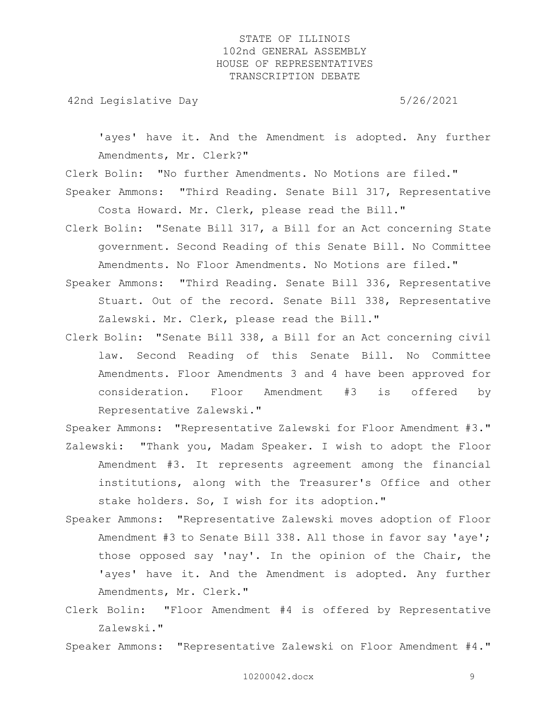42nd Legislative Day 6/26/2021

'ayes' have it. And the Amendment is adopted. Any further Amendments, Mr. Clerk?"

Clerk Bolin: "No further Amendments. No Motions are filed."

Speaker Ammons: "Third Reading. Senate Bill 317, Representative Costa Howard. Mr. Clerk, please read the Bill."

- Clerk Bolin: "Senate Bill 317, a Bill for an Act concerning State government. Second Reading of this Senate Bill. No Committee Amendments. No Floor Amendments. No Motions are filed."
- Speaker Ammons: "Third Reading. Senate Bill 336, Representative Stuart. Out of the record. Senate Bill 338, Representative Zalewski. Mr. Clerk, please read the Bill."
- Clerk Bolin: "Senate Bill 338, a Bill for an Act concerning civil law. Second Reading of this Senate Bill. No Committee Amendments. Floor Amendments 3 and 4 have been approved for consideration. Floor Amendment #3 is offered by Representative Zalewski."

Speaker Ammons: "Representative Zalewski for Floor Amendment #3." Zalewski: "Thank you, Madam Speaker. I wish to adopt the Floor Amendment #3. It represents agreement among the financial institutions, along with the Treasurer's Office and other stake holders. So, I wish for its adoption."

- Speaker Ammons: "Representative Zalewski moves adoption of Floor Amendment #3 to Senate Bill 338. All those in favor say 'aye'; those opposed say 'nay'. In the opinion of the Chair, the 'ayes' have it. And the Amendment is adopted. Any further Amendments, Mr. Clerk."
- Clerk Bolin: "Floor Amendment #4 is offered by Representative Zalewski."

Speaker Ammons: "Representative Zalewski on Floor Amendment #4."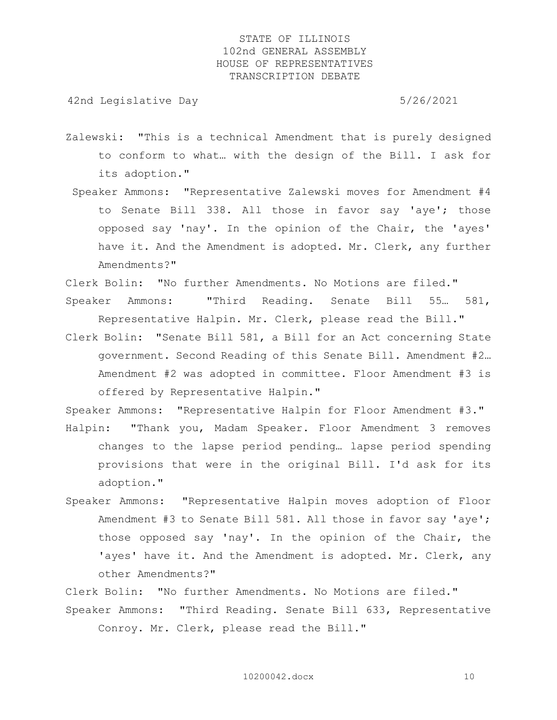42nd Legislative Day 6/26/2021

- Zalewski: "This is a technical Amendment that is purely designed to conform to what… with the design of the Bill. I ask for its adoption."
- Speaker Ammons: "Representative Zalewski moves for Amendment #4 to Senate Bill 338. All those in favor say 'aye'; those opposed say 'nay'. In the opinion of the Chair, the 'ayes' have it. And the Amendment is adopted. Mr. Clerk, any further Amendments?"
- Clerk Bolin: "No further Amendments. No Motions are filed." Speaker Ammons: "Third Reading. Senate Bill 55… 581, Representative Halpin. Mr. Clerk, please read the Bill."
- Clerk Bolin: "Senate Bill 581, a Bill for an Act concerning State government. Second Reading of this Senate Bill. Amendment #2… Amendment #2 was adopted in committee. Floor Amendment #3 is offered by Representative Halpin."
- Speaker Ammons: "Representative Halpin for Floor Amendment #3." Halpin: "Thank you, Madam Speaker. Floor Amendment 3 removes changes to the lapse period pending… lapse period spending provisions that were in the original Bill. I'd ask for its adoption."
- Speaker Ammons: "Representative Halpin moves adoption of Floor Amendment #3 to Senate Bill 581. All those in favor say 'aye'; those opposed say 'nay'. In the opinion of the Chair, the 'ayes' have it. And the Amendment is adopted. Mr. Clerk, any other Amendments?"

Clerk Bolin: "No further Amendments. No Motions are filed." Speaker Ammons: "Third Reading. Senate Bill 633, Representative Conroy. Mr. Clerk, please read the Bill."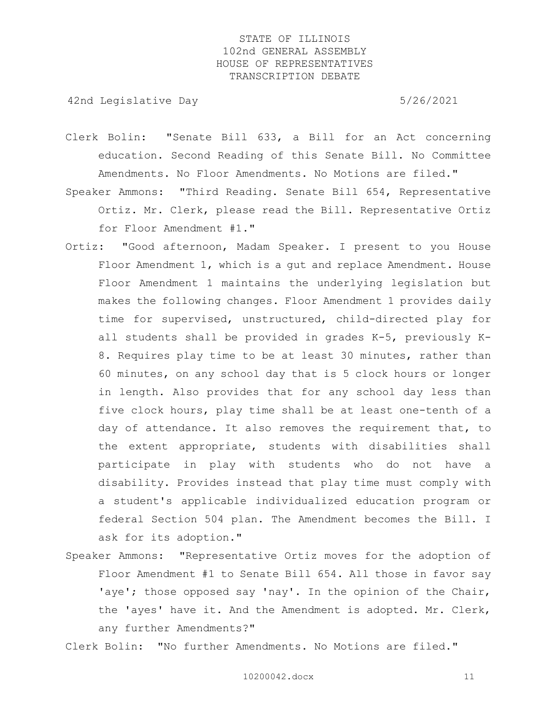42nd Legislative Day 6/26/2021

- Clerk Bolin: "Senate Bill 633, a Bill for an Act concerning education. Second Reading of this Senate Bill. No Committee Amendments. No Floor Amendments. No Motions are filed."
- Speaker Ammons: "Third Reading. Senate Bill 654, Representative Ortiz. Mr. Clerk, please read the Bill. Representative Ortiz for Floor Amendment #1."
- Ortiz: "Good afternoon, Madam Speaker. I present to you House Floor Amendment 1, which is a gut and replace Amendment. House Floor Amendment 1 maintains the underlying legislation but makes the following changes. Floor Amendment 1 provides daily time for supervised, unstructured, child-directed play for all students shall be provided in grades K-5, previously K-8. Requires play time to be at least 30 minutes, rather than 60 minutes, on any school day that is 5 clock hours or longer in length. Also provides that for any school day less than five clock hours, play time shall be at least one-tenth of a day of attendance. It also removes the requirement that, to the extent appropriate, students with disabilities shall participate in play with students who do not have a disability. Provides instead that play time must comply with a student's applicable individualized education program or federal Section 504 plan. The Amendment becomes the Bill. I ask for its adoption."
- Speaker Ammons: "Representative Ortiz moves for the adoption of Floor Amendment #1 to Senate Bill 654. All those in favor say 'aye'; those opposed say 'nay'. In the opinion of the Chair, the 'ayes' have it. And the Amendment is adopted. Mr. Clerk, any further Amendments?"

Clerk Bolin: "No further Amendments. No Motions are filed."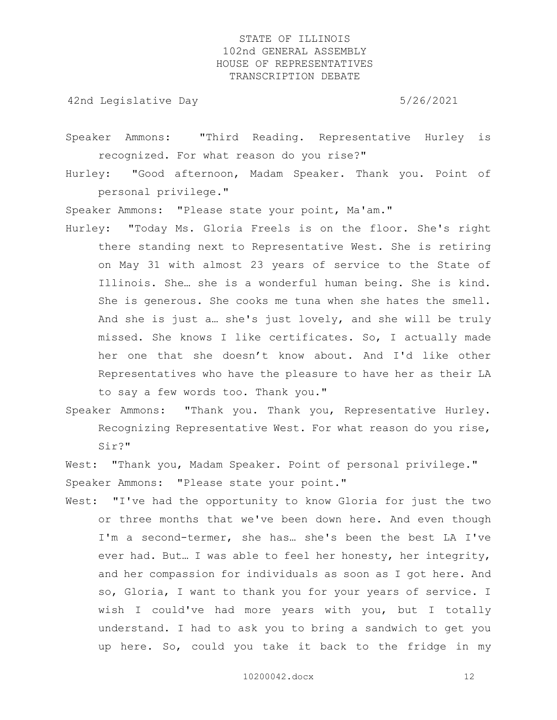42nd Legislative Day 6/26/2021

Speaker Ammons: "Third Reading. Representative Hurley is recognized. For what reason do you rise?"

Hurley: "Good afternoon, Madam Speaker. Thank you. Point of personal privilege."

Speaker Ammons: "Please state your point, Ma'am."

- Hurley: "Today Ms. Gloria Freels is on the floor. She's right there standing next to Representative West. She is retiring on May 31 with almost 23 years of service to the State of Illinois. She… she is a wonderful human being. She is kind. She is generous. She cooks me tuna when she hates the smell. And she is just a… she's just lovely, and she will be truly missed. She knows I like certificates. So, I actually made her one that she doesn't know about. And I'd like other Representatives who have the pleasure to have her as their LA to say a few words too. Thank you."
- Speaker Ammons: "Thank you. Thank you, Representative Hurley. Recognizing Representative West. For what reason do you rise, Sir?"
- West: "Thank you, Madam Speaker. Point of personal privilege." Speaker Ammons: "Please state your point."
- West: "I've had the opportunity to know Gloria for just the two or three months that we've been down here. And even though I'm a second-termer, she has… she's been the best LA I've ever had. But… I was able to feel her honesty, her integrity, and her compassion for individuals as soon as I got here. And so, Gloria, I want to thank you for your years of service. I wish I could've had more years with you, but I totally understand. I had to ask you to bring a sandwich to get you up here. So, could you take it back to the fridge in my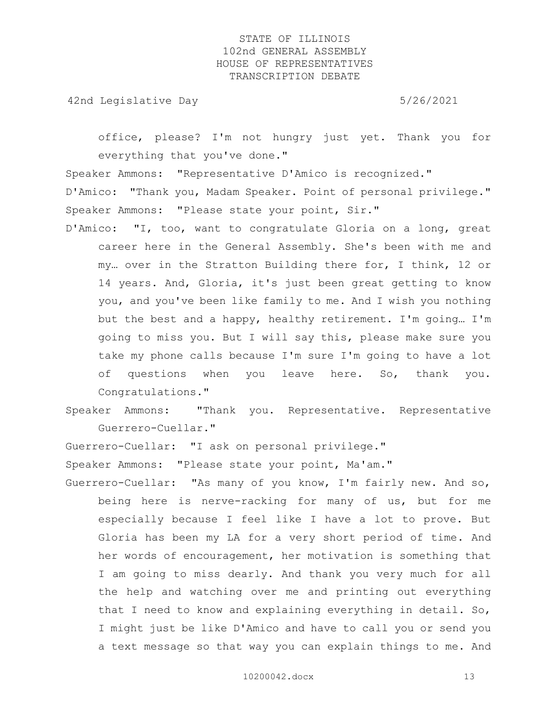42nd Legislative Day 6/26/2021

office, please? I'm not hungry just yet. Thank you for everything that you've done."

Speaker Ammons: "Representative D'Amico is recognized." D'Amico: "Thank you, Madam Speaker. Point of personal privilege." Speaker Ammons: "Please state your point, Sir."

- D'Amico: "I, too, want to congratulate Gloria on a long, great career here in the General Assembly. She's been with me and my… over in the Stratton Building there for, I think, 12 or 14 years. And, Gloria, it's just been great getting to know you, and you've been like family to me. And I wish you nothing but the best and a happy, healthy retirement. I'm going… I'm going to miss you. But I will say this, please make sure you take my phone calls because I'm sure I'm going to have a lot of questions when you leave here. So, thank you. Congratulations."
- Speaker Ammons: "Thank you. Representative. Representative Guerrero-Cuellar."

Guerrero-Cuellar: "I ask on personal privilege."

Speaker Ammons: "Please state your point, Ma'am."

Guerrero-Cuellar: "As many of you know, I'm fairly new. And so, being here is nerve-racking for many of us, but for me especially because I feel like I have a lot to prove. But Gloria has been my LA for a very short period of time. And her words of encouragement, her motivation is something that I am going to miss dearly. And thank you very much for all the help and watching over me and printing out everything that I need to know and explaining everything in detail. So, I might just be like D'Amico and have to call you or send you a text message so that way you can explain things to me. And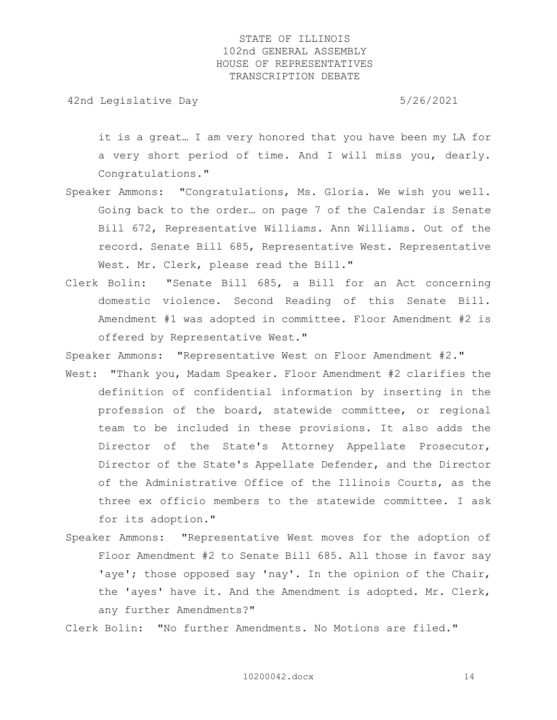42nd Legislative Day 6/26/2021

it is a great… I am very honored that you have been my LA for a very short period of time. And I will miss you, dearly. Congratulations."

- Speaker Ammons: "Congratulations, Ms. Gloria. We wish you well. Going back to the order… on page 7 of the Calendar is Senate Bill 672, Representative Williams. Ann Williams. Out of the record. Senate Bill 685, Representative West. Representative West. Mr. Clerk, please read the Bill."
- Clerk Bolin: "Senate Bill 685, a Bill for an Act concerning domestic violence. Second Reading of this Senate Bill. Amendment #1 was adopted in committee. Floor Amendment #2 is offered by Representative West."

Speaker Ammons: "Representative West on Floor Amendment #2."

- West: "Thank you, Madam Speaker. Floor Amendment #2 clarifies the definition of confidential information by inserting in the profession of the board, statewide committee, or regional team to be included in these provisions. It also adds the Director of the State's Attorney Appellate Prosecutor, Director of the State's Appellate Defender, and the Director of the Administrative Office of the Illinois Courts, as the three ex officio members to the statewide committee. I ask for its adoption."
- Speaker Ammons: "Representative West moves for the adoption of Floor Amendment #2 to Senate Bill 685. All those in favor say 'aye'; those opposed say 'nay'. In the opinion of the Chair, the 'ayes' have it. And the Amendment is adopted. Mr. Clerk, any further Amendments?"

Clerk Bolin: "No further Amendments. No Motions are filed."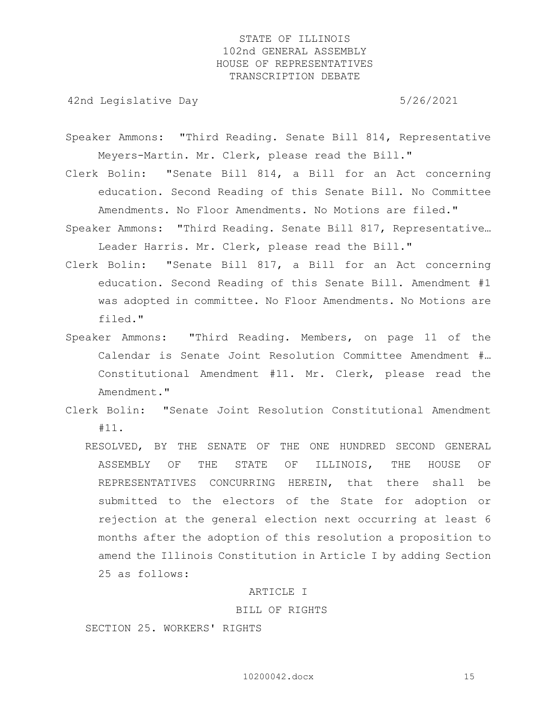42nd Legislative Day 6.1 and 5/26/2021

- Speaker Ammons: "Third Reading. Senate Bill 814, Representative Meyers-Martin. Mr. Clerk, please read the Bill."
- Clerk Bolin: "Senate Bill 814, a Bill for an Act concerning education. Second Reading of this Senate Bill. No Committee Amendments. No Floor Amendments. No Motions are filed."
- Speaker Ammons: "Third Reading. Senate Bill 817, Representative… Leader Harris. Mr. Clerk, please read the Bill."
- Clerk Bolin: "Senate Bill 817, a Bill for an Act concerning education. Second Reading of this Senate Bill. Amendment #1 was adopted in committee. No Floor Amendments. No Motions are filed."
- Speaker Ammons: "Third Reading. Members, on page 11 of the Calendar is Senate Joint Resolution Committee Amendment #… Constitutional Amendment #11. Mr. Clerk, please read the Amendment."
- Clerk Bolin: "Senate Joint Resolution Constitutional Amendment #11.
	- RESOLVED, BY THE SENATE OF THE ONE HUNDRED SECOND GENERAL ASSEMBLY OF THE STATE OF ILLINOIS, THE HOUSE OF REPRESENTATIVES CONCURRING HEREIN, that there shall be submitted to the electors of the State for adoption or rejection at the general election next occurring at least 6 months after the adoption of this resolution a proposition to amend the Illinois Constitution in Article I by adding Section 25 as follows:

#### ARTICLE I

#### BILL OF RIGHTS

SECTION 25. WORKERS' RIGHTS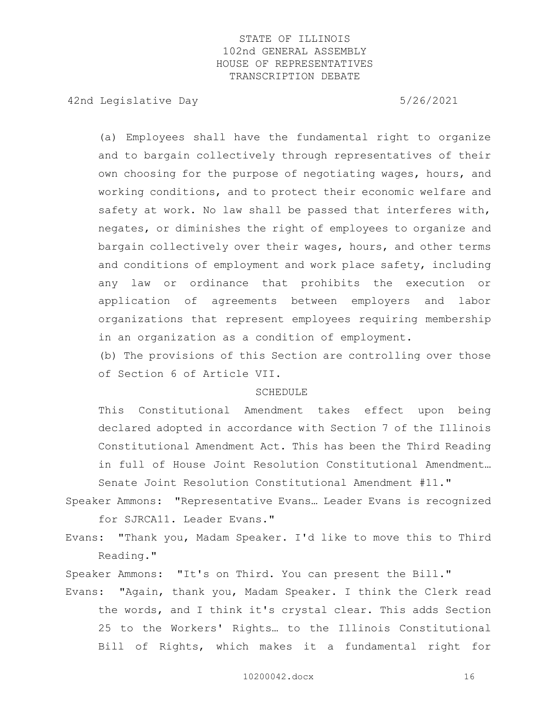42nd Legislative Day 6/26/2021

 (a) Employees shall have the fundamental right to organize and to bargain collectively through representatives of their own choosing for the purpose of negotiating wages, hours, and working conditions, and to protect their economic welfare and safety at work. No law shall be passed that interferes with, negates, or diminishes the right of employees to organize and bargain collectively over their wages, hours, and other terms and conditions of employment and work place safety, including any law or ordinance that prohibits the execution or application of agreements between employers and labor organizations that represent employees requiring membership in an organization as a condition of employment.

 (b) The provisions of this Section are controlling over those of Section 6 of Article VII.

#### SCHEDULE

 This Constitutional Amendment takes effect upon being declared adopted in accordance with Section 7 of the Illinois Constitutional Amendment Act. This has been the Third Reading in full of House Joint Resolution Constitutional Amendment… Senate Joint Resolution Constitutional Amendment #11."

- Speaker Ammons: "Representative Evans… Leader Evans is recognized for SJRCA11. Leader Evans."
- Evans: "Thank you, Madam Speaker. I'd like to move this to Third Reading."
- Speaker Ammons: "It's on Third. You can present the Bill."
- Evans: "Again, thank you, Madam Speaker. I think the Clerk read the words, and I think it's crystal clear. This adds Section 25 to the Workers' Rights… to the Illinois Constitutional Bill of Rights, which makes it a fundamental right for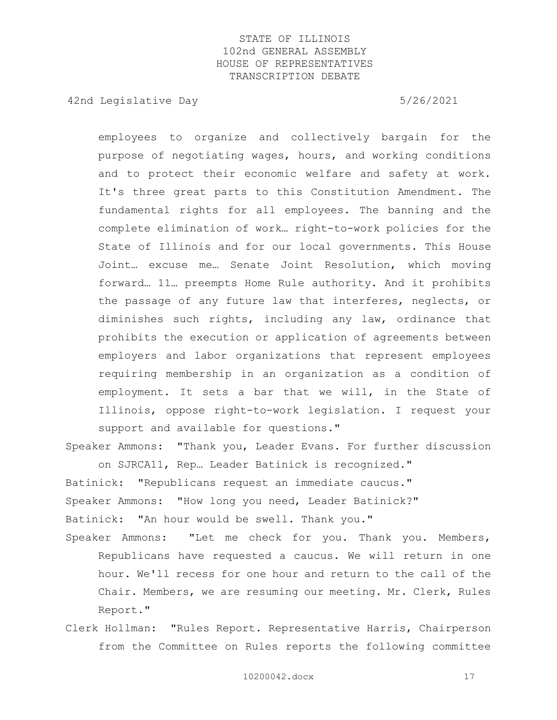42nd Legislative Day 6/26/2021

employees to organize and collectively bargain for the purpose of negotiating wages, hours, and working conditions and to protect their economic welfare and safety at work. It's three great parts to this Constitution Amendment. The fundamental rights for all employees. The banning and the complete elimination of work… right-to-work policies for the State of Illinois and for our local governments. This House Joint… excuse me… Senate Joint Resolution, which moving forward… 11… preempts Home Rule authority. And it prohibits the passage of any future law that interferes, neglects, or diminishes such rights, including any law, ordinance that prohibits the execution or application of agreements between employers and labor organizations that represent employees requiring membership in an organization as a condition of employment. It sets a bar that we will, in the State of Illinois, oppose right-to-work legislation. I request your support and available for questions."

Speaker Ammons: "Thank you, Leader Evans. For further discussion on SJRCA11, Rep… Leader Batinick is recognized."

Batinick: "Republicans request an immediate caucus." Speaker Ammons: "How long you need, Leader Batinick?" Batinick: "An hour would be swell. Thank you."

- Speaker Ammons: "Let me check for you. Thank you. Members, Republicans have requested a caucus. We will return in one hour. We'll recess for one hour and return to the call of the Chair. Members, we are resuming our meeting. Mr. Clerk, Rules Report."
- Clerk Hollman: "Rules Report. Representative Harris, Chairperson from the Committee on Rules reports the following committee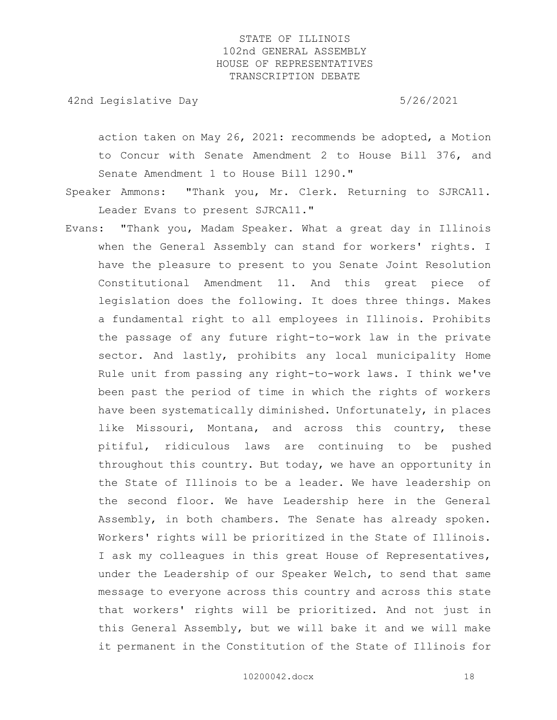42nd Legislative Day 6/26/2021

action taken on May 26, 2021: recommends be adopted, a Motion to Concur with Senate Amendment 2 to House Bill 376, and Senate Amendment 1 to House Bill 1290."

Speaker Ammons: "Thank you, Mr. Clerk. Returning to SJRCA11. Leader Evans to present SJRCA11."

Evans: "Thank you, Madam Speaker. What a great day in Illinois when the General Assembly can stand for workers' rights. I have the pleasure to present to you Senate Joint Resolution Constitutional Amendment 11. And this great piece of legislation does the following. It does three things. Makes a fundamental right to all employees in Illinois. Prohibits the passage of any future right-to-work law in the private sector. And lastly, prohibits any local municipality Home Rule unit from passing any right-to-work laws. I think we've been past the period of time in which the rights of workers have been systematically diminished. Unfortunately, in places like Missouri, Montana, and across this country, these pitiful, ridiculous laws are continuing to be pushed throughout this country. But today, we have an opportunity in the State of Illinois to be a leader. We have leadership on the second floor. We have Leadership here in the General Assembly, in both chambers. The Senate has already spoken. Workers' rights will be prioritized in the State of Illinois. I ask my colleagues in this great House of Representatives, under the Leadership of our Speaker Welch, to send that same message to everyone across this country and across this state that workers' rights will be prioritized. And not just in this General Assembly, but we will bake it and we will make it permanent in the Constitution of the State of Illinois for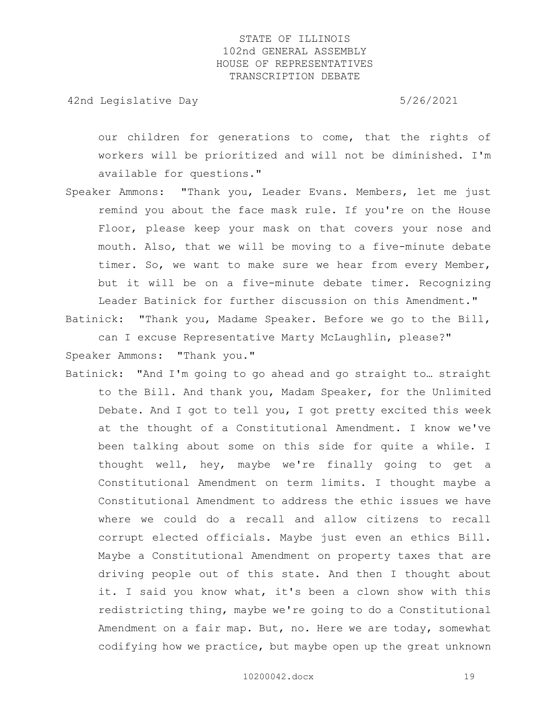42nd Legislative Day 6/26/2021

our children for generations to come, that the rights of workers will be prioritized and will not be diminished. I'm available for questions."

Speaker Ammons: "Thank you, Leader Evans. Members, let me just remind you about the face mask rule. If you're on the House Floor, please keep your mask on that covers your nose and mouth. Also, that we will be moving to a five-minute debate timer. So, we want to make sure we hear from every Member, but it will be on a five-minute debate timer. Recognizing Leader Batinick for further discussion on this Amendment."

Batinick: "Thank you, Madame Speaker. Before we go to the Bill, can I excuse Representative Marty McLaughlin, please?" Speaker Ammons: "Thank you."

Batinick: "And I'm going to go ahead and go straight to… straight to the Bill. And thank you, Madam Speaker, for the Unlimited Debate. And I got to tell you, I got pretty excited this week at the thought of a Constitutional Amendment. I know we've been talking about some on this side for quite a while. I thought well, hey, maybe we're finally going to get a Constitutional Amendment on term limits. I thought maybe a Constitutional Amendment to address the ethic issues we have where we could do a recall and allow citizens to recall corrupt elected officials. Maybe just even an ethics Bill. Maybe a Constitutional Amendment on property taxes that are driving people out of this state. And then I thought about it. I said you know what, it's been a clown show with this redistricting thing, maybe we're going to do a Constitutional Amendment on a fair map. But, no. Here we are today, somewhat codifying how we practice, but maybe open up the great unknown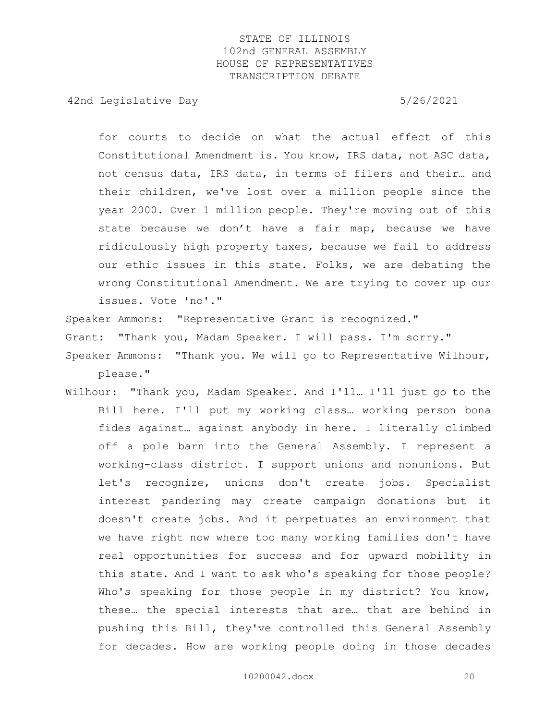42nd Legislative Day 6/26/2021

for courts to decide on what the actual effect of this Constitutional Amendment is. You know, IRS data, not ASC data, not census data, IRS data, in terms of filers and their… and their children, we've lost over a million people since the year 2000. Over 1 million people. They're moving out of this state because we don't have a fair map, because we have ridiculously high property taxes, because we fail to address our ethic issues in this state. Folks, we are debating the wrong Constitutional Amendment. We are trying to cover up our issues. Vote 'no'."

Speaker Ammons: "Representative Grant is recognized."

Grant: "Thank you, Madam Speaker. I will pass. I'm sorry."

Speaker Ammons: "Thank you. We will go to Representative Wilhour, please."

Wilhour: "Thank you, Madam Speaker. And I'll… I'll just go to the Bill here. I'll put my working class… working person bona fides against… against anybody in here. I literally climbed off a pole barn into the General Assembly. I represent a working-class district. I support unions and nonunions. But let's recognize, unions don't create jobs. Specialist interest pandering may create campaign donations but it doesn't create jobs. And it perpetuates an environment that we have right now where too many working families don't have real opportunities for success and for upward mobility in this state. And I want to ask who's speaking for those people? Who's speaking for those people in my district? You know, these… the special interests that are… that are behind in pushing this Bill, they've controlled this General Assembly for decades. How are working people doing in those decades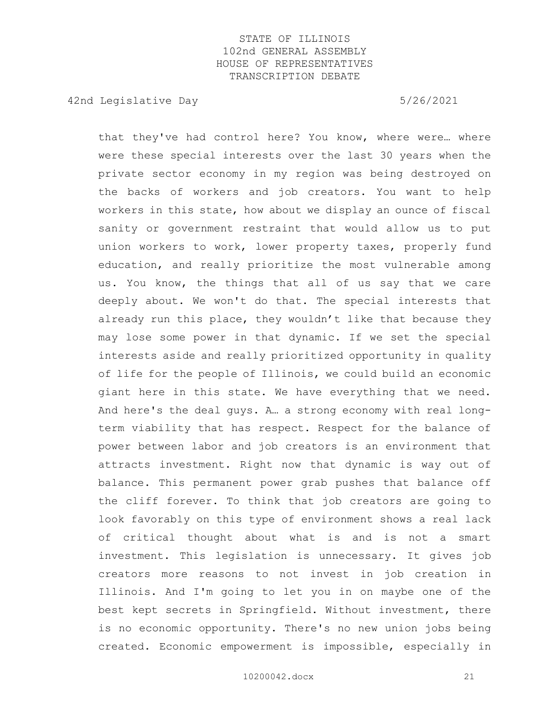42nd Legislative Day 6/26/2021

that they've had control here? You know, where were… where were these special interests over the last 30 years when the private sector economy in my region was being destroyed on the backs of workers and job creators. You want to help workers in this state, how about we display an ounce of fiscal sanity or government restraint that would allow us to put union workers to work, lower property taxes, properly fund education, and really prioritize the most vulnerable among us. You know, the things that all of us say that we care deeply about. We won't do that. The special interests that already run this place, they wouldn't like that because they may lose some power in that dynamic. If we set the special interests aside and really prioritized opportunity in quality of life for the people of Illinois, we could build an economic giant here in this state. We have everything that we need. And here's the deal guys. A… a strong economy with real longterm viability that has respect. Respect for the balance of power between labor and job creators is an environment that attracts investment. Right now that dynamic is way out of balance. This permanent power grab pushes that balance off the cliff forever. To think that job creators are going to look favorably on this type of environment shows a real lack of critical thought about what is and is not a smart investment. This legislation is unnecessary. It gives job creators more reasons to not invest in job creation in Illinois. And I'm going to let you in on maybe one of the best kept secrets in Springfield. Without investment, there is no economic opportunity. There's no new union jobs being created. Economic empowerment is impossible, especially in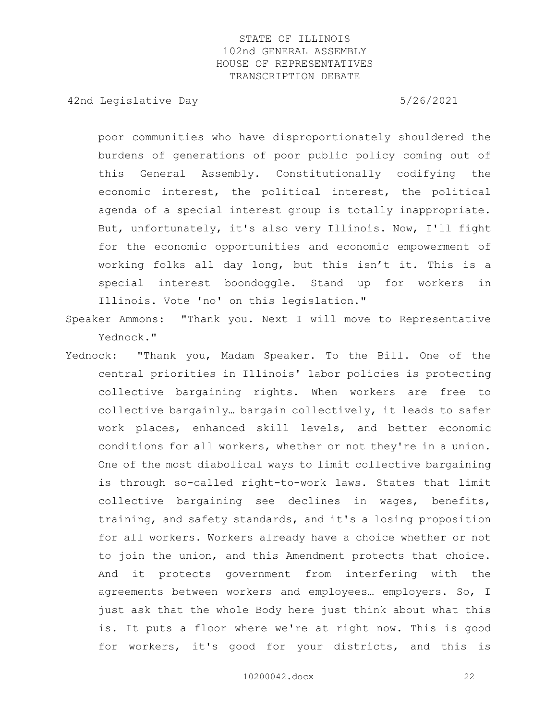42nd Legislative Day 6/26/2021

poor communities who have disproportionately shouldered the burdens of generations of poor public policy coming out of this General Assembly. Constitutionally codifying the economic interest, the political interest, the political agenda of a special interest group is totally inappropriate. But, unfortunately, it's also very Illinois. Now, I'll fight for the economic opportunities and economic empowerment of working folks all day long, but this isn't it. This is a special interest boondoggle. Stand up for workers in Illinois. Vote 'no' on this legislation."

- Speaker Ammons: "Thank you. Next I will move to Representative Yednock."
- Yednock: "Thank you, Madam Speaker. To the Bill. One of the central priorities in Illinois' labor policies is protecting collective bargaining rights. When workers are free to collective bargainly… bargain collectively, it leads to safer work places, enhanced skill levels, and better economic conditions for all workers, whether or not they're in a union. One of the most diabolical ways to limit collective bargaining is through so-called right-to-work laws. States that limit collective bargaining see declines in wages, benefits, training, and safety standards, and it's a losing proposition for all workers. Workers already have a choice whether or not to join the union, and this Amendment protects that choice. And it protects government from interfering with the agreements between workers and employees… employers. So, I just ask that the whole Body here just think about what this is. It puts a floor where we're at right now. This is good for workers, it's good for your districts, and this is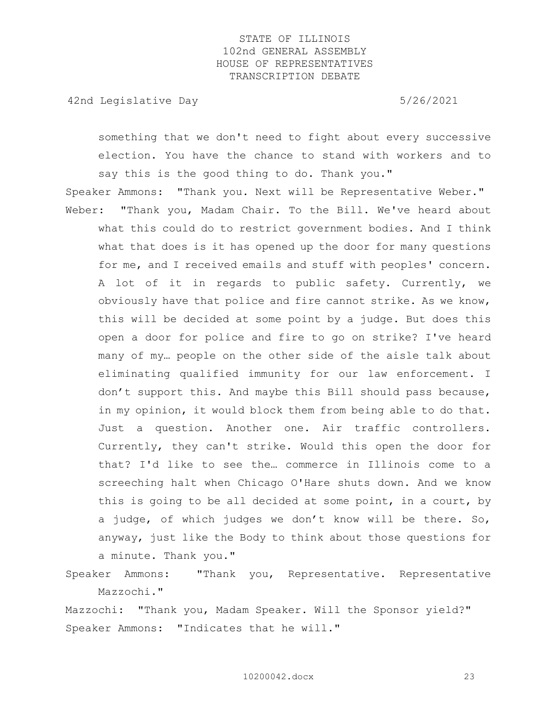42nd Legislative Day 6/26/2021

something that we don't need to fight about every successive election. You have the chance to stand with workers and to say this is the good thing to do. Thank you."

Speaker Ammons: "Thank you. Next will be Representative Weber." Weber: "Thank you, Madam Chair. To the Bill. We've heard about what this could do to restrict government bodies. And I think what that does is it has opened up the door for many questions for me, and I received emails and stuff with peoples' concern. A lot of it in regards to public safety. Currently, we obviously have that police and fire cannot strike. As we know, this will be decided at some point by a judge. But does this open a door for police and fire to go on strike? I've heard many of my… people on the other side of the aisle talk about eliminating qualified immunity for our law enforcement. I don't support this. And maybe this Bill should pass because, in my opinion, it would block them from being able to do that. Just a question. Another one. Air traffic controllers. Currently, they can't strike. Would this open the door for that? I'd like to see the… commerce in Illinois come to a screeching halt when Chicago O'Hare shuts down. And we know this is going to be all decided at some point, in a court, by a judge, of which judges we don't know will be there. So, anyway, just like the Body to think about those questions for a minute. Thank you."

Speaker Ammons: "Thank you, Representative. Representative Mazzochi."

Mazzochi: "Thank you, Madam Speaker. Will the Sponsor yield?" Speaker Ammons: "Indicates that he will."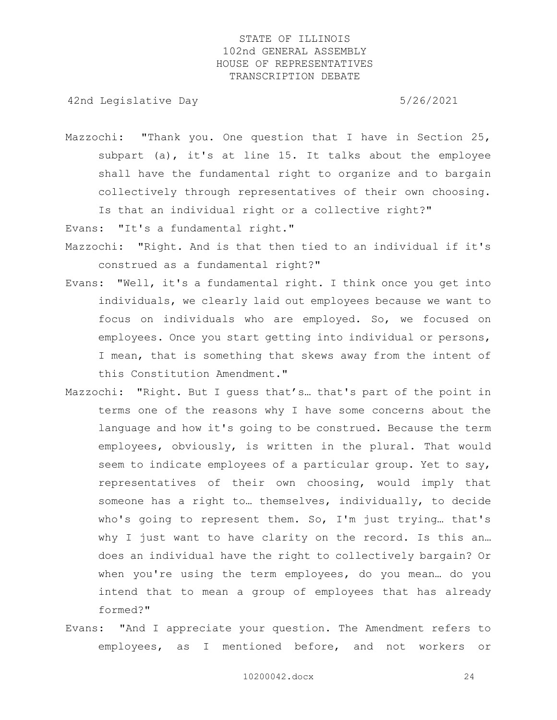42nd Legislative Day 6/26/2021

Mazzochi: "Thank you. One question that I have in Section 25, subpart (a), it's at line 15. It talks about the employee shall have the fundamental right to organize and to bargain collectively through representatives of their own choosing. Is that an individual right or a collective right?"

Evans: "It's a fundamental right."

- Mazzochi: "Right. And is that then tied to an individual if it's construed as a fundamental right?"
- Evans: "Well, it's a fundamental right. I think once you get into individuals, we clearly laid out employees because we want to focus on individuals who are employed. So, we focused on employees. Once you start getting into individual or persons, I mean, that is something that skews away from the intent of this Constitution Amendment."
- Mazzochi: "Right. But I guess that's… that's part of the point in terms one of the reasons why I have some concerns about the language and how it's going to be construed. Because the term employees, obviously, is written in the plural. That would seem to indicate employees of a particular group. Yet to say, representatives of their own choosing, would imply that someone has a right to… themselves, individually, to decide who's going to represent them. So, I'm just trying… that's why I just want to have clarity on the record. Is this an... does an individual have the right to collectively bargain? Or when you're using the term employees, do you mean… do you intend that to mean a group of employees that has already formed?"
- Evans: "And I appreciate your question. The Amendment refers to employees, as I mentioned before, and not workers or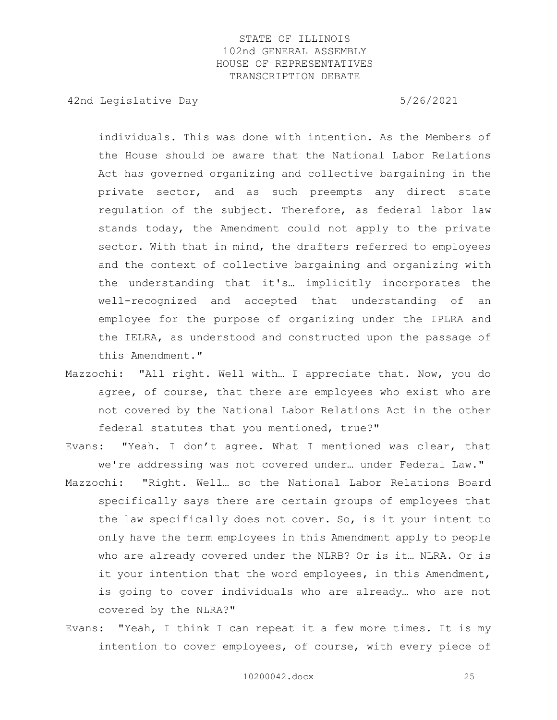42nd Legislative Day 6/26/2021

individuals. This was done with intention. As the Members of the House should be aware that the National Labor Relations Act has governed organizing and collective bargaining in the private sector, and as such preempts any direct state regulation of the subject. Therefore, as federal labor law stands today, the Amendment could not apply to the private sector. With that in mind, the drafters referred to employees and the context of collective bargaining and organizing with the understanding that it's… implicitly incorporates the well-recognized and accepted that understanding of an employee for the purpose of organizing under the IPLRA and the IELRA, as understood and constructed upon the passage of this Amendment."

- Mazzochi: "All right. Well with… I appreciate that. Now, you do agree, of course, that there are employees who exist who are not covered by the National Labor Relations Act in the other federal statutes that you mentioned, true?"
- Evans: "Yeah. I don't agree. What I mentioned was clear, that we're addressing was not covered under… under Federal Law."
- Mazzochi: "Right. Well… so the National Labor Relations Board specifically says there are certain groups of employees that the law specifically does not cover. So, is it your intent to only have the term employees in this Amendment apply to people who are already covered under the NLRB? Or is it… NLRA. Or is it your intention that the word employees, in this Amendment, is going to cover individuals who are already… who are not covered by the NLRA?"
- Evans: "Yeah, I think I can repeat it a few more times. It is my intention to cover employees, of course, with every piece of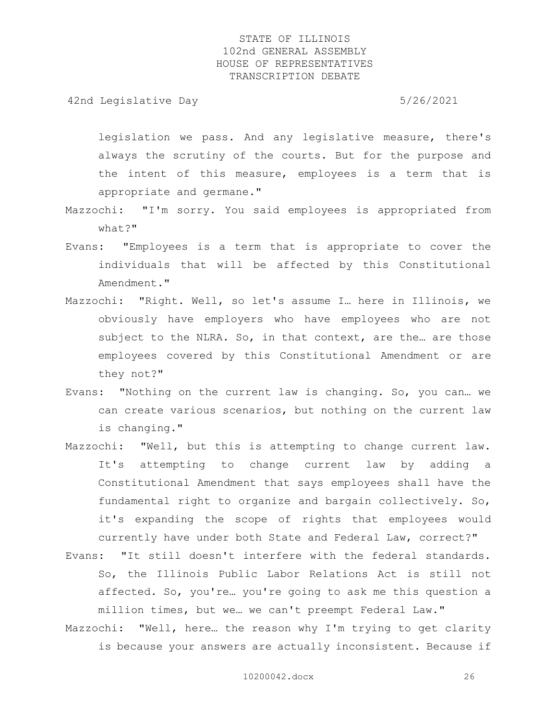42nd Legislative Day 6/26/2021

legislation we pass. And any legislative measure, there's always the scrutiny of the courts. But for the purpose and the intent of this measure, employees is a term that is appropriate and germane."

- Mazzochi: "I'm sorry. You said employees is appropriated from what?"
- Evans: "Employees is a term that is appropriate to cover the individuals that will be affected by this Constitutional Amendment."
- Mazzochi: "Right. Well, so let's assume I… here in Illinois, we obviously have employers who have employees who are not subject to the NLRA. So, in that context, are the... are those employees covered by this Constitutional Amendment or are they not?"
- Evans: "Nothing on the current law is changing. So, you can… we can create various scenarios, but nothing on the current law is changing."
- Mazzochi: "Well, but this is attempting to change current law. It's attempting to change current law by adding a Constitutional Amendment that says employees shall have the fundamental right to organize and bargain collectively. So, it's expanding the scope of rights that employees would currently have under both State and Federal Law, correct?"
- Evans: "It still doesn't interfere with the federal standards. So, the Illinois Public Labor Relations Act is still not affected. So, you're… you're going to ask me this question a million times, but we… we can't preempt Federal Law."
- Mazzochi: "Well, here… the reason why I'm trying to get clarity is because your answers are actually inconsistent. Because if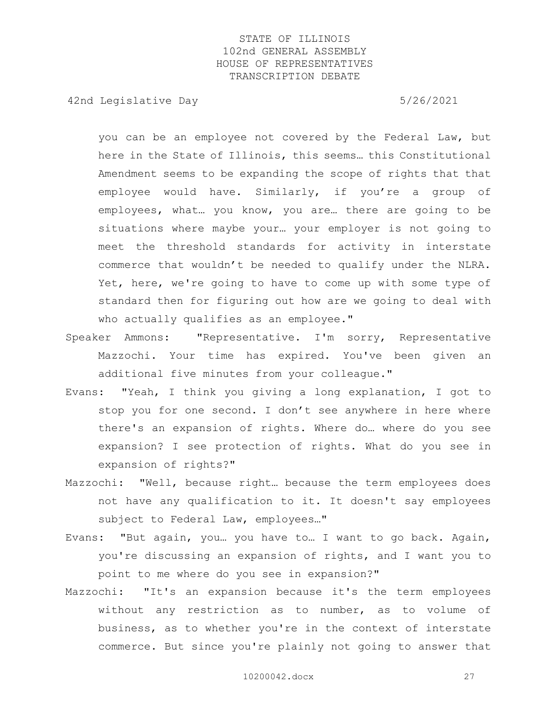42nd Legislative Day 6/26/2021

you can be an employee not covered by the Federal Law, but here in the State of Illinois, this seems… this Constitutional Amendment seems to be expanding the scope of rights that that employee would have. Similarly, if you're a group of employees, what… you know, you are… there are going to be situations where maybe your… your employer is not going to meet the threshold standards for activity in interstate commerce that wouldn't be needed to qualify under the NLRA. Yet, here, we're going to have to come up with some type of standard then for figuring out how are we going to deal with who actually qualifies as an employee."

- Speaker Ammons: "Representative. I'm sorry, Representative Mazzochi. Your time has expired. You've been given an additional five minutes from your colleague."
- Evans: "Yeah, I think you giving a long explanation, I got to stop you for one second. I don't see anywhere in here where there's an expansion of rights. Where do… where do you see expansion? I see protection of rights. What do you see in expansion of rights?"
- Mazzochi: "Well, because right… because the term employees does not have any qualification to it. It doesn't say employees subject to Federal Law, employees…"
- Evans: "But again, you… you have to… I want to go back. Again, you're discussing an expansion of rights, and I want you to point to me where do you see in expansion?"
- Mazzochi: "It's an expansion because it's the term employees without any restriction as to number, as to volume of business, as to whether you're in the context of interstate commerce. But since you're plainly not going to answer that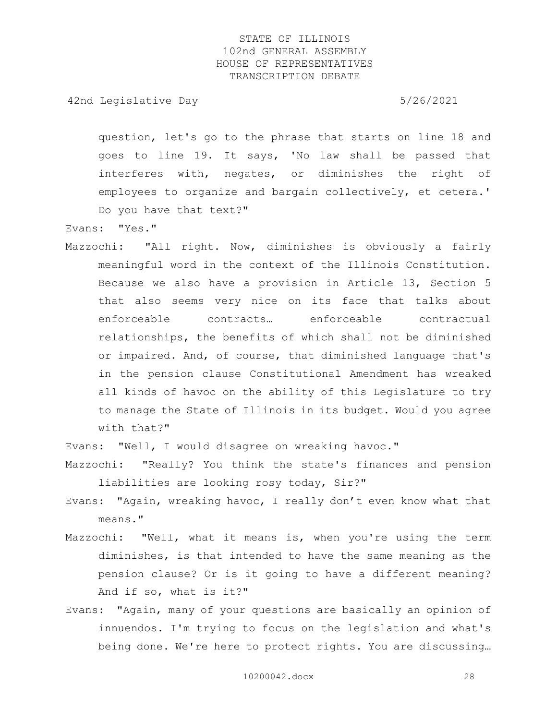42nd Legislative Day 6/26/2021

question, let's go to the phrase that starts on line 18 and goes to line 19. It says, 'No law shall be passed that interferes with, negates, or diminishes the right of employees to organize and bargain collectively, et cetera.' Do you have that text?"

Evans: "Yes."

Mazzochi: "All right. Now, diminishes is obviously a fairly meaningful word in the context of the Illinois Constitution. Because we also have a provision in Article 13, Section 5 that also seems very nice on its face that talks about enforceable contracts… enforceable contractual relationships, the benefits of which shall not be diminished or impaired. And, of course, that diminished language that's in the pension clause Constitutional Amendment has wreaked all kinds of havoc on the ability of this Legislature to try to manage the State of Illinois in its budget. Would you agree with that?"

Evans: "Well, I would disagree on wreaking havoc."

Mazzochi: "Really? You think the state's finances and pension liabilities are looking rosy today, Sir?"

- Evans: "Again, wreaking havoc, I really don't even know what that means."
- Mazzochi: "Well, what it means is, when you're using the term diminishes, is that intended to have the same meaning as the pension clause? Or is it going to have a different meaning? And if so, what is it?"
- Evans: "Again, many of your questions are basically an opinion of innuendos. I'm trying to focus on the legislation and what's being done. We're here to protect rights. You are discussing…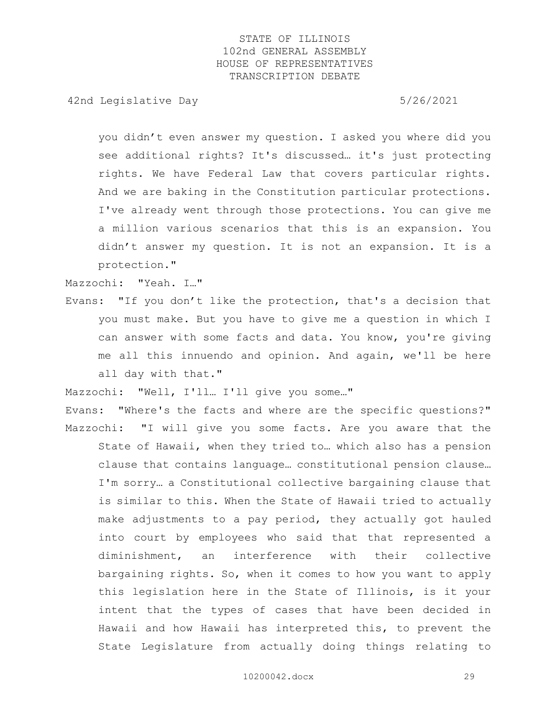42nd Legislative Day 6/26/2021

you didn't even answer my question. I asked you where did you see additional rights? It's discussed… it's just protecting rights. We have Federal Law that covers particular rights. And we are baking in the Constitution particular protections. I've already went through those protections. You can give me a million various scenarios that this is an expansion. You didn't answer my question. It is not an expansion. It is a protection."

Mazzochi: "Yeah. I…"

Evans: "If you don't like the protection, that's a decision that you must make. But you have to give me a question in which I can answer with some facts and data. You know, you're giving me all this innuendo and opinion. And again, we'll be here all day with that."

Mazzochi: "Well, I'll… I'll give you some…"

Evans: "Where's the facts and where are the specific questions?" Mazzochi: "I will give you some facts. Are you aware that the State of Hawaii, when they tried to… which also has a pension

clause that contains language… constitutional pension clause… I'm sorry… a Constitutional collective bargaining clause that is similar to this. When the State of Hawaii tried to actually make adjustments to a pay period, they actually got hauled into court by employees who said that that represented a diminishment, an interference with their collective bargaining rights. So, when it comes to how you want to apply this legislation here in the State of Illinois, is it your intent that the types of cases that have been decided in Hawaii and how Hawaii has interpreted this, to prevent the State Legislature from actually doing things relating to

10200042.docx 29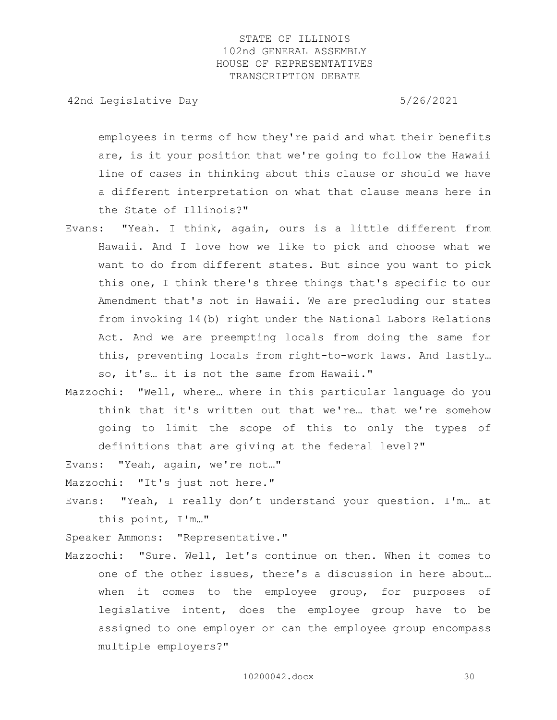42nd Legislative Day 6/26/2021

employees in terms of how they're paid and what their benefits are, is it your position that we're going to follow the Hawaii line of cases in thinking about this clause or should we have a different interpretation on what that clause means here in the State of Illinois?"

- Evans: "Yeah. I think, again, ours is a little different from Hawaii. And I love how we like to pick and choose what we want to do from different states. But since you want to pick this one, I think there's three things that's specific to our Amendment that's not in Hawaii. We are precluding our states from invoking 14(b) right under the National Labors Relations Act. And we are preempting locals from doing the same for this, preventing locals from right-to-work laws. And lastly… so, it's… it is not the same from Hawaii."
- Mazzochi: "Well, where… where in this particular language do you think that it's written out that we're… that we're somehow going to limit the scope of this to only the types of definitions that are giving at the federal level?"

Evans: "Yeah, again, we're not…"

Mazzochi: "It's just not here."

Evans: "Yeah, I really don't understand your question. I'm… at this point, I'm…"

Speaker Ammons: "Representative."

Mazzochi: "Sure. Well, let's continue on then. When it comes to one of the other issues, there's a discussion in here about… when it comes to the employee group, for purposes of legislative intent, does the employee group have to be assigned to one employer or can the employee group encompass multiple employers?"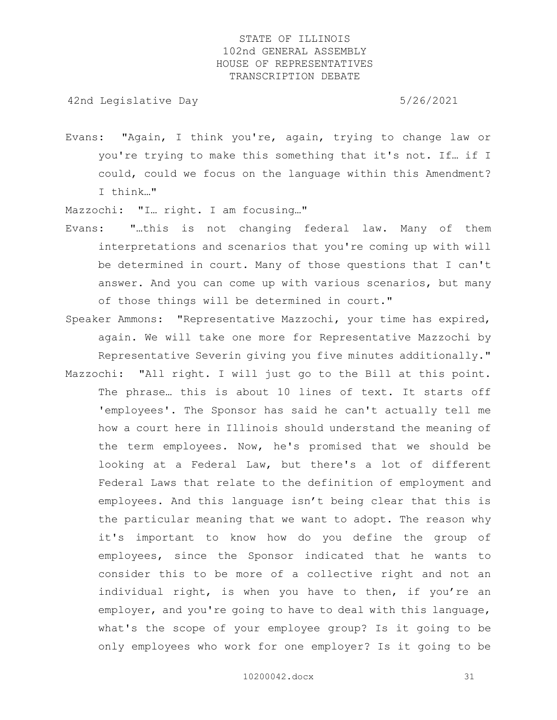42nd Legislative Day 6/26/2021

Evans: "Again, I think you're, again, trying to change law or you're trying to make this something that it's not. If… if I could, could we focus on the language within this Amendment? I think…"

Mazzochi: "I… right. I am focusing…"

- Evans: "…this is not changing federal law. Many of them interpretations and scenarios that you're coming up with will be determined in court. Many of those questions that I can't answer. And you can come up with various scenarios, but many of those things will be determined in court."
- Speaker Ammons: "Representative Mazzochi, your time has expired, again. We will take one more for Representative Mazzochi by Representative Severin giving you five minutes additionally."
- Mazzochi: "All right. I will just go to the Bill at this point. The phrase… this is about 10 lines of text. It starts off 'employees'. The Sponsor has said he can't actually tell me how a court here in Illinois should understand the meaning of the term employees. Now, he's promised that we should be looking at a Federal Law, but there's a lot of different Federal Laws that relate to the definition of employment and employees. And this language isn't being clear that this is the particular meaning that we want to adopt. The reason why it's important to know how do you define the group of employees, since the Sponsor indicated that he wants to consider this to be more of a collective right and not an individual right, is when you have to then, if you're an employer, and you're going to have to deal with this language, what's the scope of your employee group? Is it going to be only employees who work for one employer? Is it going to be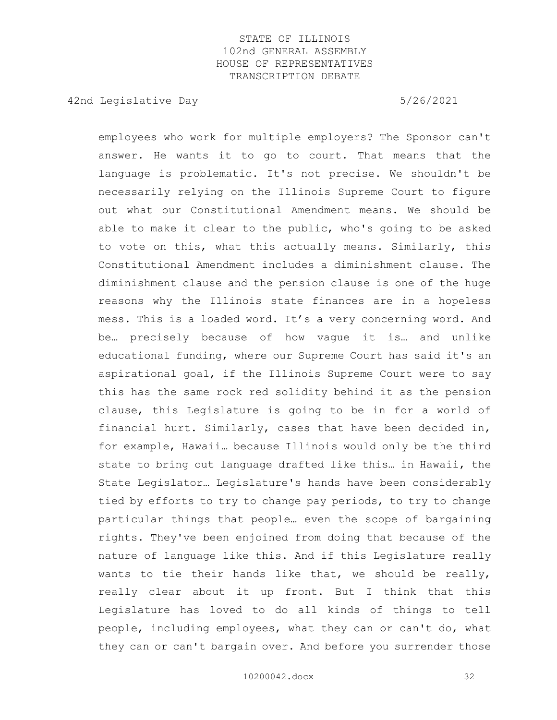42nd Legislative Day 6/26/2021

employees who work for multiple employers? The Sponsor can't answer. He wants it to go to court. That means that the language is problematic. It's not precise. We shouldn't be necessarily relying on the Illinois Supreme Court to figure out what our Constitutional Amendment means. We should be able to make it clear to the public, who's going to be asked to vote on this, what this actually means. Similarly, this Constitutional Amendment includes a diminishment clause. The diminishment clause and the pension clause is one of the huge reasons why the Illinois state finances are in a hopeless mess. This is a loaded word. It's a very concerning word. And be… precisely because of how vague it is… and unlike educational funding, where our Supreme Court has said it's an aspirational goal, if the Illinois Supreme Court were to say this has the same rock red solidity behind it as the pension clause, this Legislature is going to be in for a world of financial hurt. Similarly, cases that have been decided in, for example, Hawaii… because Illinois would only be the third state to bring out language drafted like this… in Hawaii, the State Legislator… Legislature's hands have been considerably tied by efforts to try to change pay periods, to try to change particular things that people… even the scope of bargaining rights. They've been enjoined from doing that because of the nature of language like this. And if this Legislature really wants to tie their hands like that, we should be really, really clear about it up front. But I think that this Legislature has loved to do all kinds of things to tell people, including employees, what they can or can't do, what they can or can't bargain over. And before you surrender those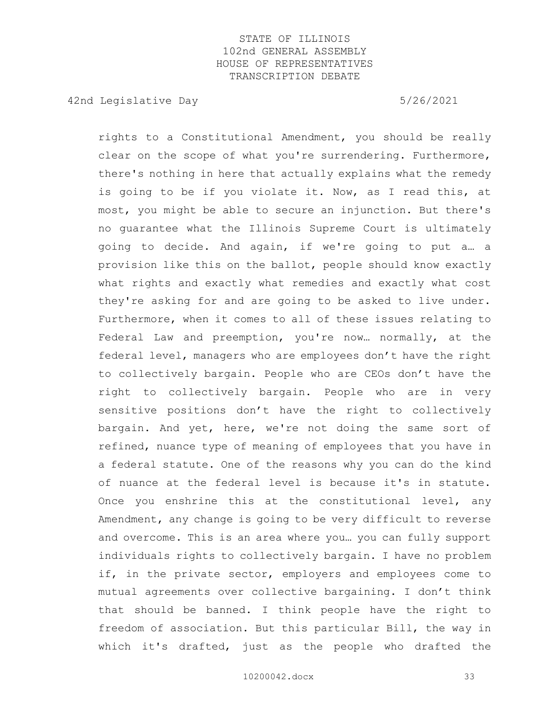42nd Legislative Day 6/26/2021

rights to a Constitutional Amendment, you should be really clear on the scope of what you're surrendering. Furthermore, there's nothing in here that actually explains what the remedy is going to be if you violate it. Now, as I read this, at most, you might be able to secure an injunction. But there's no guarantee what the Illinois Supreme Court is ultimately going to decide. And again, if we're going to put a… a provision like this on the ballot, people should know exactly what rights and exactly what remedies and exactly what cost they're asking for and are going to be asked to live under. Furthermore, when it comes to all of these issues relating to Federal Law and preemption, you're now… normally, at the federal level, managers who are employees don't have the right to collectively bargain. People who are CEOs don't have the right to collectively bargain. People who are in very sensitive positions don't have the right to collectively bargain. And yet, here, we're not doing the same sort of refined, nuance type of meaning of employees that you have in a federal statute. One of the reasons why you can do the kind of nuance at the federal level is because it's in statute. Once you enshrine this at the constitutional level, any Amendment, any change is going to be very difficult to reverse and overcome. This is an area where you… you can fully support individuals rights to collectively bargain. I have no problem if, in the private sector, employers and employees come to mutual agreements over collective bargaining. I don't think that should be banned. I think people have the right to freedom of association. But this particular Bill, the way in which it's drafted, just as the people who drafted the

10200042.docx 33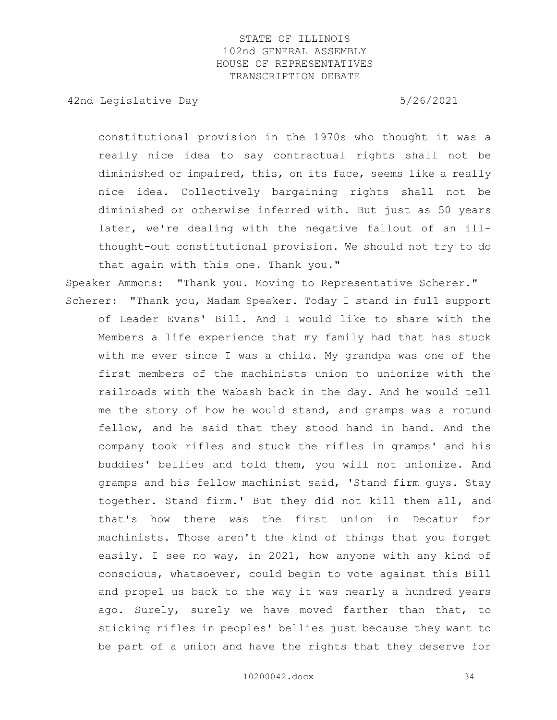42nd Legislative Day 6/26/2021

constitutional provision in the 1970s who thought it was a really nice idea to say contractual rights shall not be diminished or impaired, this, on its face, seems like a really nice idea. Collectively bargaining rights shall not be diminished or otherwise inferred with. But just as 50 years later, we're dealing with the negative fallout of an illthought-out constitutional provision. We should not try to do that again with this one. Thank you."

Speaker Ammons: "Thank you. Moving to Representative Scherer." Scherer: "Thank you, Madam Speaker. Today I stand in full support

of Leader Evans' Bill. And I would like to share with the Members a life experience that my family had that has stuck with me ever since I was a child. My grandpa was one of the first members of the machinists union to unionize with the railroads with the Wabash back in the day. And he would tell me the story of how he would stand, and gramps was a rotund fellow, and he said that they stood hand in hand. And the company took rifles and stuck the rifles in gramps' and his buddies' bellies and told them, you will not unionize. And gramps and his fellow machinist said, 'Stand firm guys. Stay together. Stand firm.' But they did not kill them all, and that's how there was the first union in Decatur for machinists. Those aren't the kind of things that you forget easily. I see no way, in 2021, how anyone with any kind of conscious, whatsoever, could begin to vote against this Bill and propel us back to the way it was nearly a hundred years ago. Surely, surely we have moved farther than that, to sticking rifles in peoples' bellies just because they want to be part of a union and have the rights that they deserve for

10200042.docx 34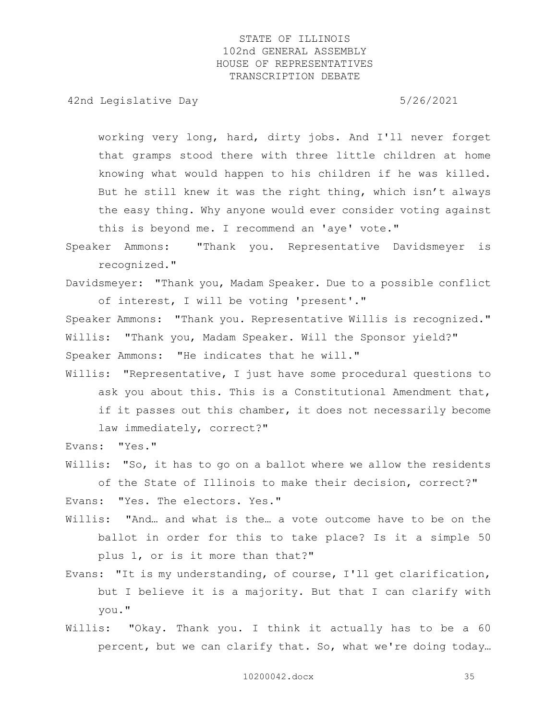42nd Legislative Day 6/26/2021

working very long, hard, dirty jobs. And I'll never forget that gramps stood there with three little children at home knowing what would happen to his children if he was killed. But he still knew it was the right thing, which isn't always the easy thing. Why anyone would ever consider voting against this is beyond me. I recommend an 'aye' vote."

Speaker Ammons: "Thank you. Representative Davidsmeyer is recognized."

Davidsmeyer: "Thank you, Madam Speaker. Due to a possible conflict of interest, I will be voting 'present'."

Speaker Ammons: "Thank you. Representative Willis is recognized."

Willis: "Thank you, Madam Speaker. Will the Sponsor yield?"

Speaker Ammons: "He indicates that he will."

Willis: "Representative, I just have some procedural questions to ask you about this. This is a Constitutional Amendment that, if it passes out this chamber, it does not necessarily become law immediately, correct?"

Evans: "Yes."

- Willis: "So, it has to go on a ballot where we allow the residents of the State of Illinois to make their decision, correct?" Evans: "Yes. The electors. Yes."
- Willis: "And… and what is the… a vote outcome have to be on the ballot in order for this to take place? Is it a simple 50 plus 1, or is it more than that?"
- Evans: "It is my understanding, of course, I'll get clarification, but I believe it is a majority. But that I can clarify with you."
- Willis: "Okay. Thank you. I think it actually has to be a 60 percent, but we can clarify that. So, what we're doing today…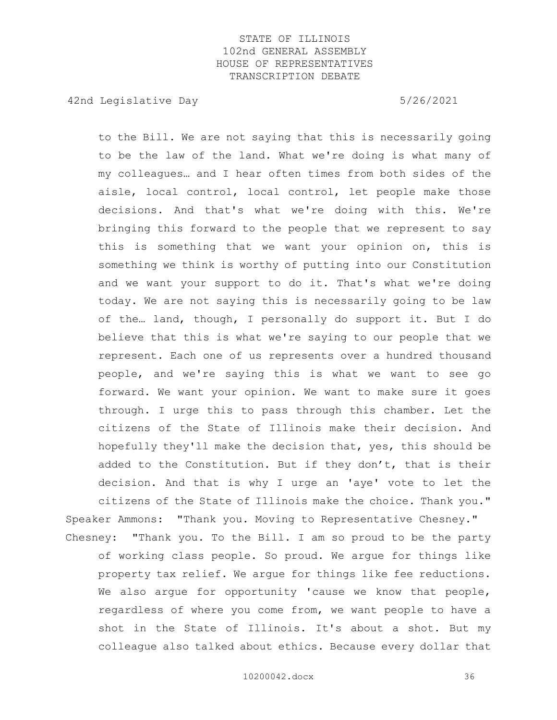42nd Legislative Day 6/26/2021

to the Bill. We are not saying that this is necessarily going to be the law of the land. What we're doing is what many of my colleagues… and I hear often times from both sides of the aisle, local control, local control, let people make those decisions. And that's what we're doing with this. We're bringing this forward to the people that we represent to say this is something that we want your opinion on, this is something we think is worthy of putting into our Constitution and we want your support to do it. That's what we're doing today. We are not saying this is necessarily going to be law of the… land, though, I personally do support it. But I do believe that this is what we're saying to our people that we represent. Each one of us represents over a hundred thousand people, and we're saying this is what we want to see go forward. We want your opinion. We want to make sure it goes through. I urge this to pass through this chamber. Let the citizens of the State of Illinois make their decision. And hopefully they'll make the decision that, yes, this should be added to the Constitution. But if they don't, that is their decision. And that is why I urge an 'aye' vote to let the citizens of the State of Illinois make the choice. Thank you." Speaker Ammons: "Thank you. Moving to Representative Chesney."

Chesney: "Thank you. To the Bill. I am so proud to be the party of working class people. So proud. We argue for things like property tax relief. We argue for things like fee reductions. We also argue for opportunity 'cause we know that people, regardless of where you come from, we want people to have a shot in the State of Illinois. It's about a shot. But my colleague also talked about ethics. Because every dollar that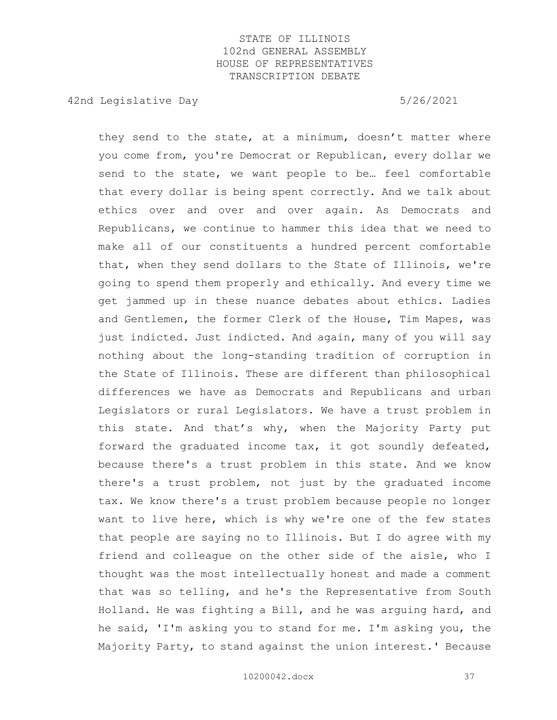42nd Legislative Day 6/26/2021

they send to the state, at a minimum, doesn't matter where you come from, you're Democrat or Republican, every dollar we send to the state, we want people to be… feel comfortable that every dollar is being spent correctly. And we talk about ethics over and over and over again. As Democrats and Republicans, we continue to hammer this idea that we need to make all of our constituents a hundred percent comfortable that, when they send dollars to the State of Illinois, we're going to spend them properly and ethically. And every time we get jammed up in these nuance debates about ethics. Ladies and Gentlemen, the former Clerk of the House, Tim Mapes, was just indicted. Just indicted. And again, many of you will say nothing about the long-standing tradition of corruption in the State of Illinois. These are different than philosophical differences we have as Democrats and Republicans and urban Legislators or rural Legislators. We have a trust problem in this state. And that's why, when the Majority Party put forward the graduated income tax, it got soundly defeated, because there's a trust problem in this state. And we know there's a trust problem, not just by the graduated income tax. We know there's a trust problem because people no longer want to live here, which is why we're one of the few states that people are saying no to Illinois. But I do agree with my friend and colleague on the other side of the aisle, who I thought was the most intellectually honest and made a comment that was so telling, and he's the Representative from South Holland. He was fighting a Bill, and he was arguing hard, and he said, 'I'm asking you to stand for me. I'm asking you, the Majority Party, to stand against the union interest.' Because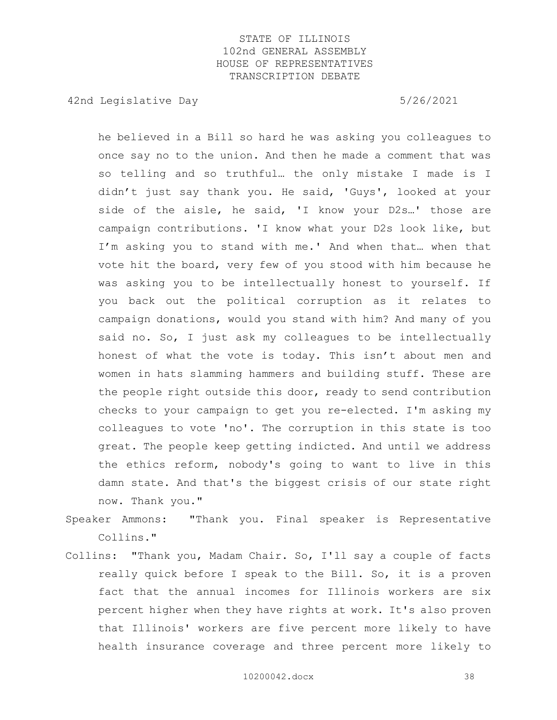42nd Legislative Day 6/26/2021

he believed in a Bill so hard he was asking you colleagues to once say no to the union. And then he made a comment that was so telling and so truthful… the only mistake I made is I didn't just say thank you. He said, 'Guys', looked at your side of the aisle, he said, 'I know your D2s...' those are campaign contributions. 'I know what your D2s look like, but I'm asking you to stand with me.' And when that… when that vote hit the board, very few of you stood with him because he was asking you to be intellectually honest to yourself. If you back out the political corruption as it relates to campaign donations, would you stand with him? And many of you said no. So, I just ask my colleagues to be intellectually honest of what the vote is today. This isn't about men and women in hats slamming hammers and building stuff. These are the people right outside this door, ready to send contribution checks to your campaign to get you re-elected. I'm asking my colleagues to vote 'no'. The corruption in this state is too great. The people keep getting indicted. And until we address the ethics reform, nobody's going to want to live in this damn state. And that's the biggest crisis of our state right now. Thank you."

Speaker Ammons: "Thank you. Final speaker is Representative Collins."

Collins: "Thank you, Madam Chair. So, I'll say a couple of facts really quick before I speak to the Bill. So, it is a proven fact that the annual incomes for Illinois workers are six percent higher when they have rights at work. It's also proven that Illinois' workers are five percent more likely to have health insurance coverage and three percent more likely to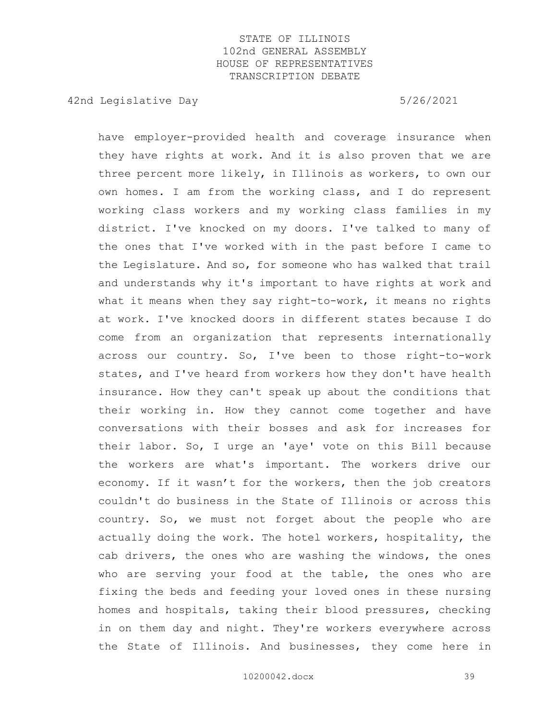42nd Legislative Day 6/26/2021

have employer-provided health and coverage insurance when they have rights at work. And it is also proven that we are three percent more likely, in Illinois as workers, to own our own homes. I am from the working class, and I do represent working class workers and my working class families in my district. I've knocked on my doors. I've talked to many of the ones that I've worked with in the past before I came to the Legislature. And so, for someone who has walked that trail and understands why it's important to have rights at work and what it means when they say right-to-work, it means no rights at work. I've knocked doors in different states because I do come from an organization that represents internationally across our country. So, I've been to those right-to-work states, and I've heard from workers how they don't have health insurance. How they can't speak up about the conditions that their working in. How they cannot come together and have conversations with their bosses and ask for increases for their labor. So, I urge an 'aye' vote on this Bill because the workers are what's important. The workers drive our economy. If it wasn't for the workers, then the job creators couldn't do business in the State of Illinois or across this country. So, we must not forget about the people who are actually doing the work. The hotel workers, hospitality, the cab drivers, the ones who are washing the windows, the ones who are serving your food at the table, the ones who are fixing the beds and feeding your loved ones in these nursing homes and hospitals, taking their blood pressures, checking in on them day and night. They're workers everywhere across the State of Illinois. And businesses, they come here in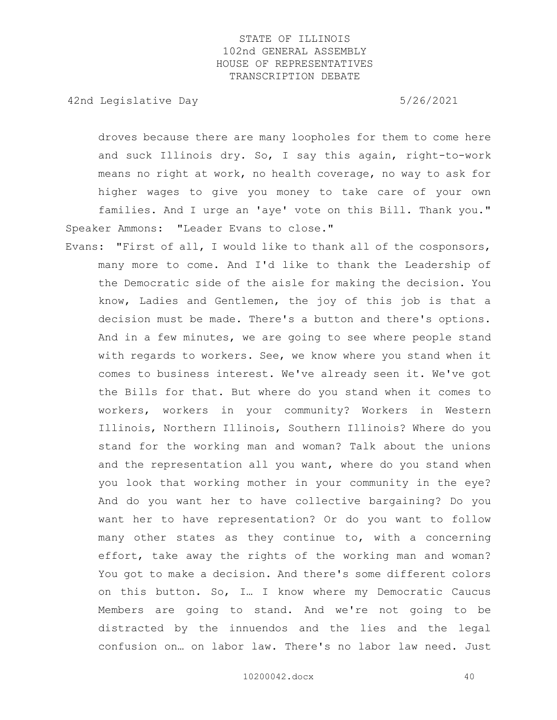42nd Legislative Day 6/26/2021

droves because there are many loopholes for them to come here and suck Illinois dry. So, I say this again, right-to-work means no right at work, no health coverage, no way to ask for higher wages to give you money to take care of your own families. And I urge an 'aye' vote on this Bill. Thank you." Speaker Ammons: "Leader Evans to close."

Evans: "First of all, I would like to thank all of the cosponsors, many more to come. And I'd like to thank the Leadership of the Democratic side of the aisle for making the decision. You know, Ladies and Gentlemen, the joy of this job is that a decision must be made. There's a button and there's options. And in a few minutes, we are going to see where people stand with regards to workers. See, we know where you stand when it comes to business interest. We've already seen it. We've got the Bills for that. But where do you stand when it comes to workers, workers in your community? Workers in Western Illinois, Northern Illinois, Southern Illinois? Where do you stand for the working man and woman? Talk about the unions and the representation all you want, where do you stand when you look that working mother in your community in the eye? And do you want her to have collective bargaining? Do you want her to have representation? Or do you want to follow many other states as they continue to, with a concerning effort, take away the rights of the working man and woman? You got to make a decision. And there's some different colors on this button. So, I… I know where my Democratic Caucus Members are going to stand. And we're not going to be distracted by the innuendos and the lies and the legal confusion on… on labor law. There's no labor law need. Just

10200042.docx 40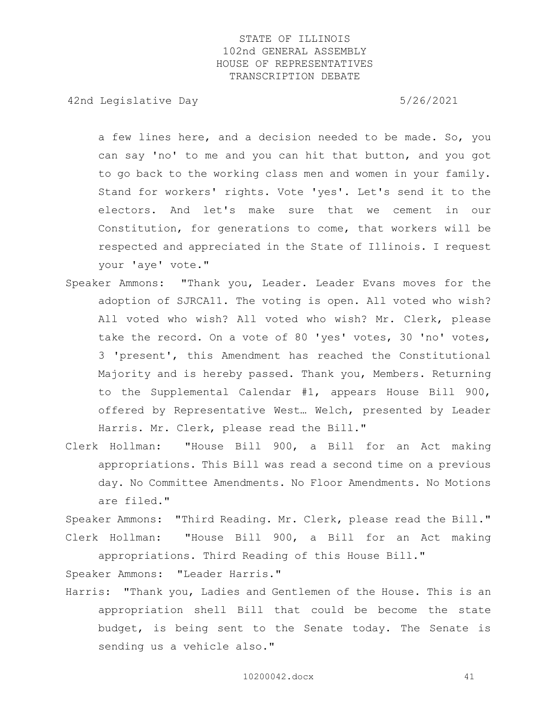42nd Legislative Day 6/26/2021

a few lines here, and a decision needed to be made. So, you can say 'no' to me and you can hit that button, and you got to go back to the working class men and women in your family. Stand for workers' rights. Vote 'yes'. Let's send it to the electors. And let's make sure that we cement in our Constitution, for generations to come, that workers will be respected and appreciated in the State of Illinois. I request your 'aye' vote."

- Speaker Ammons: "Thank you, Leader. Leader Evans moves for the adoption of SJRCA11. The voting is open. All voted who wish? All voted who wish? All voted who wish? Mr. Clerk, please take the record. On a vote of 80 'yes' votes, 30 'no' votes, 3 'present', this Amendment has reached the Constitutional Majority and is hereby passed. Thank you, Members. Returning to the Supplemental Calendar #1, appears House Bill 900, offered by Representative West… Welch, presented by Leader Harris. Mr. Clerk, please read the Bill."
- Clerk Hollman: "House Bill 900, a Bill for an Act making appropriations. This Bill was read a second time on a previous day. No Committee Amendments. No Floor Amendments. No Motions are filed."

Speaker Ammons: "Third Reading. Mr. Clerk, please read the Bill." Clerk Hollman: "House Bill 900, a Bill for an Act making

appropriations. Third Reading of this House Bill."

Speaker Ammons: "Leader Harris."

Harris: "Thank you, Ladies and Gentlemen of the House. This is an appropriation shell Bill that could be become the state budget, is being sent to the Senate today. The Senate is sending us a vehicle also."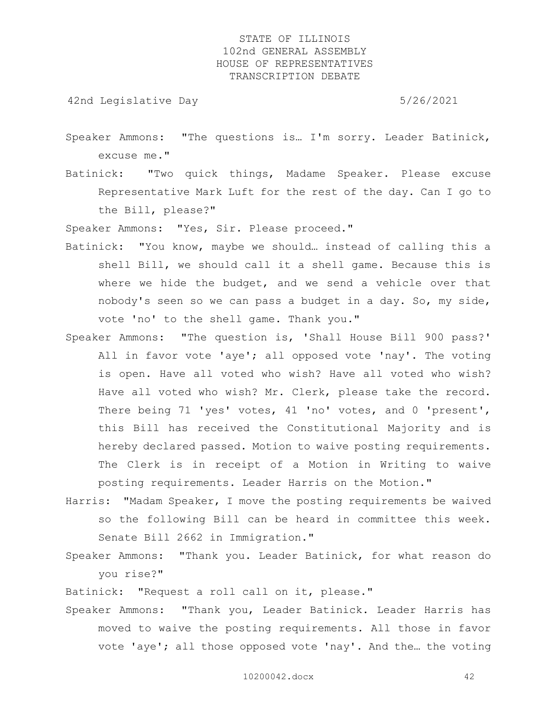42nd Legislative Day 6/26/2021

- Speaker Ammons: "The questions is… I'm sorry. Leader Batinick, excuse me."
- Batinick: "Two quick things, Madame Speaker. Please excuse Representative Mark Luft for the rest of the day. Can I go to the Bill, please?"

Speaker Ammons: "Yes, Sir. Please proceed."

- Batinick: "You know, maybe we should… instead of calling this a shell Bill, we should call it a shell game. Because this is where we hide the budget, and we send a vehicle over that nobody's seen so we can pass a budget in a day. So, my side, vote 'no' to the shell game. Thank you."
- Speaker Ammons: "The question is, 'Shall House Bill 900 pass?' All in favor vote 'aye'; all opposed vote 'nay'. The voting is open. Have all voted who wish? Have all voted who wish? Have all voted who wish? Mr. Clerk, please take the record. There being 71 'yes' votes, 41 'no' votes, and 0 'present', this Bill has received the Constitutional Majority and is hereby declared passed. Motion to waive posting requirements. The Clerk is in receipt of a Motion in Writing to waive posting requirements. Leader Harris on the Motion."
- Harris: "Madam Speaker, I move the posting requirements be waived so the following Bill can be heard in committee this week. Senate Bill 2662 in Immigration."
- Speaker Ammons: "Thank you. Leader Batinick, for what reason do you rise?"

Batinick: "Request a roll call on it, please."

Speaker Ammons: "Thank you, Leader Batinick. Leader Harris has moved to waive the posting requirements. All those in favor vote 'aye'; all those opposed vote 'nay'. And the… the voting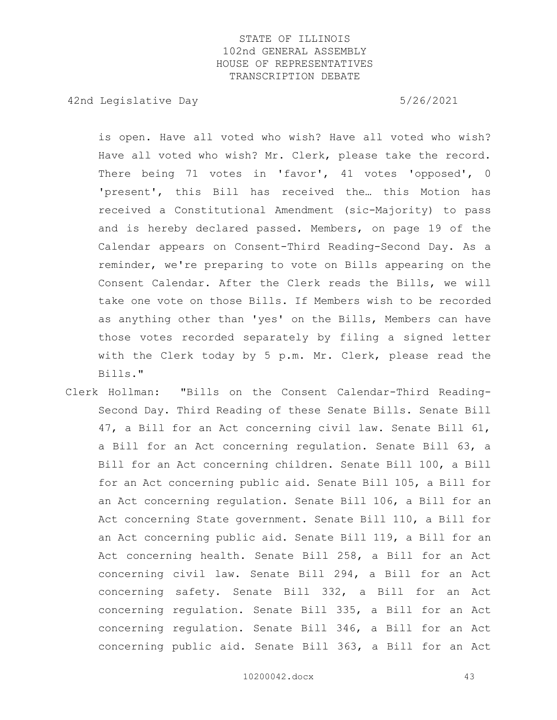42nd Legislative Day 6/26/2021

is open. Have all voted who wish? Have all voted who wish? Have all voted who wish? Mr. Clerk, please take the record. There being 71 votes in 'favor', 41 votes 'opposed', 0 'present', this Bill has received the… this Motion has received a Constitutional Amendment (sic-Majority) to pass and is hereby declared passed. Members, on page 19 of the Calendar appears on Consent-Third Reading-Second Day. As a reminder, we're preparing to vote on Bills appearing on the Consent Calendar. After the Clerk reads the Bills, we will take one vote on those Bills. If Members wish to be recorded as anything other than 'yes' on the Bills, Members can have those votes recorded separately by filing a signed letter with the Clerk today by 5 p.m. Mr. Clerk, please read the Bills."

Clerk Hollman: "Bills on the Consent Calendar-Third Reading-Second Day. Third Reading of these Senate Bills. Senate Bill 47, a Bill for an Act concerning civil law. Senate Bill 61, a Bill for an Act concerning regulation. Senate Bill 63, a Bill for an Act concerning children. Senate Bill 100, a Bill for an Act concerning public aid. Senate Bill 105, a Bill for an Act concerning regulation. Senate Bill 106, a Bill for an Act concerning State government. Senate Bill 110, a Bill for an Act concerning public aid. Senate Bill 119, a Bill for an Act concerning health. Senate Bill 258, a Bill for an Act concerning civil law. Senate Bill 294, a Bill for an Act concerning safety. Senate Bill 332, a Bill for an Act concerning regulation. Senate Bill 335, a Bill for an Act concerning regulation. Senate Bill 346, a Bill for an Act concerning public aid. Senate Bill 363, a Bill for an Act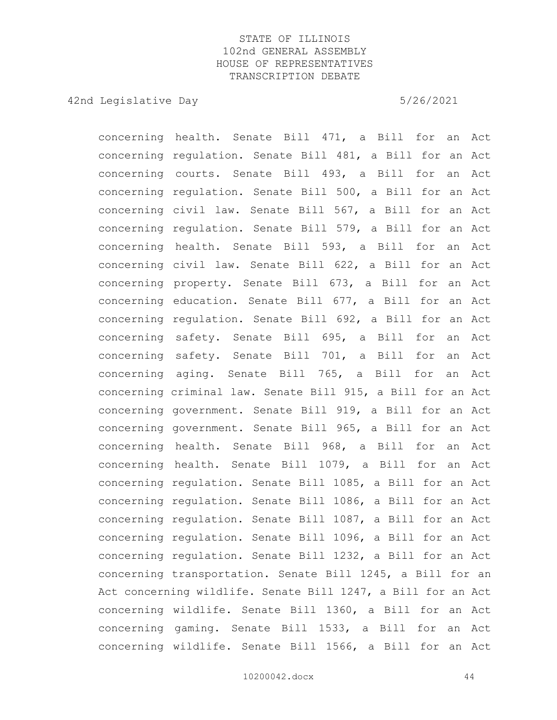42nd Legislative Day 6/26/2021

concerning health. Senate Bill 471, a Bill for an Act concerning regulation. Senate Bill 481, a Bill for an Act concerning courts. Senate Bill 493, a Bill for an Act concerning regulation. Senate Bill 500, a Bill for an Act concerning civil law. Senate Bill 567, a Bill for an Act concerning regulation. Senate Bill 579, a Bill for an Act concerning health. Senate Bill 593, a Bill for an Act concerning civil law. Senate Bill 622, a Bill for an Act concerning property. Senate Bill 673, a Bill for an Act concerning education. Senate Bill 677, a Bill for an Act concerning regulation. Senate Bill 692, a Bill for an Act concerning safety. Senate Bill 695, a Bill for an Act concerning safety. Senate Bill 701, a Bill for an Act concerning aging. Senate Bill 765, a Bill for an Act concerning criminal law. Senate Bill 915, a Bill for an Act concerning government. Senate Bill 919, a Bill for an Act concerning government. Senate Bill 965, a Bill for an Act concerning health. Senate Bill 968, a Bill for an Act concerning health. Senate Bill 1079, a Bill for an Act concerning regulation. Senate Bill 1085, a Bill for an Act concerning regulation. Senate Bill 1086, a Bill for an Act concerning regulation. Senate Bill 1087, a Bill for an Act concerning regulation. Senate Bill 1096, a Bill for an Act concerning regulation. Senate Bill 1232, a Bill for an Act concerning transportation. Senate Bill 1245, a Bill for an Act concerning wildlife. Senate Bill 1247, a Bill for an Act concerning wildlife. Senate Bill 1360, a Bill for an Act concerning gaming. Senate Bill 1533, a Bill for an Act concerning wildlife. Senate Bill 1566, a Bill for an Act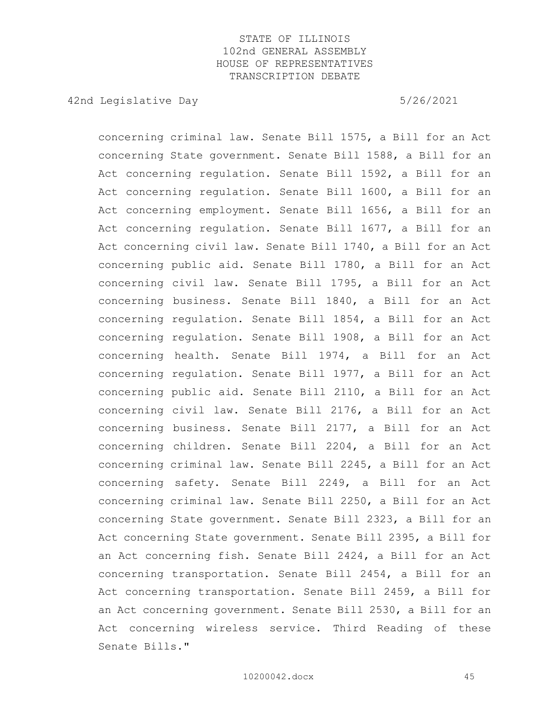42nd Legislative Day 6/26/2021

concerning criminal law. Senate Bill 1575, a Bill for an Act concerning State government. Senate Bill 1588, a Bill for an Act concerning regulation. Senate Bill 1592, a Bill for an Act concerning regulation. Senate Bill 1600, a Bill for an Act concerning employment. Senate Bill 1656, a Bill for an Act concerning regulation. Senate Bill 1677, a Bill for an Act concerning civil law. Senate Bill 1740, a Bill for an Act concerning public aid. Senate Bill 1780, a Bill for an Act concerning civil law. Senate Bill 1795, a Bill for an Act concerning business. Senate Bill 1840, a Bill for an Act concerning regulation. Senate Bill 1854, a Bill for an Act concerning regulation. Senate Bill 1908, a Bill for an Act concerning health. Senate Bill 1974, a Bill for an Act concerning regulation. Senate Bill 1977, a Bill for an Act concerning public aid. Senate Bill 2110, a Bill for an Act concerning civil law. Senate Bill 2176, a Bill for an Act concerning business. Senate Bill 2177, a Bill for an Act concerning children. Senate Bill 2204, a Bill for an Act concerning criminal law. Senate Bill 2245, a Bill for an Act concerning safety. Senate Bill 2249, a Bill for an Act concerning criminal law. Senate Bill 2250, a Bill for an Act concerning State government. Senate Bill 2323, a Bill for an Act concerning State government. Senate Bill 2395, a Bill for an Act concerning fish. Senate Bill 2424, a Bill for an Act concerning transportation. Senate Bill 2454, a Bill for an Act concerning transportation. Senate Bill 2459, a Bill for an Act concerning government. Senate Bill 2530, a Bill for an Act concerning wireless service. Third Reading of these Senate Bills."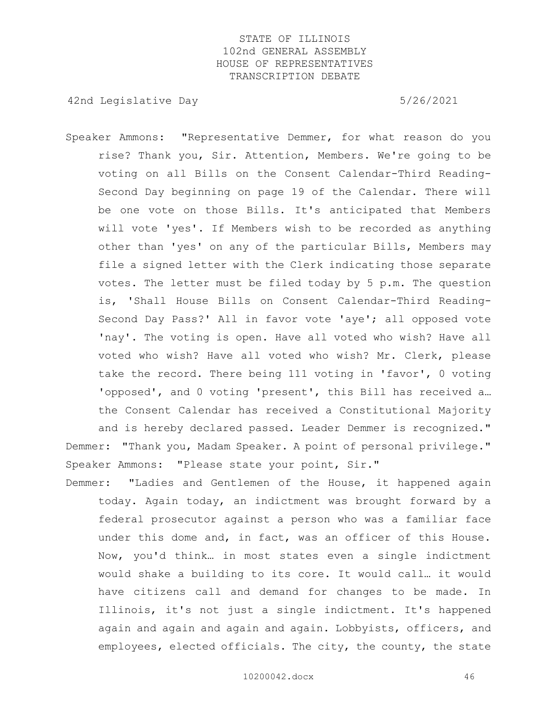42nd Legislative Day 6/26/2021

- Speaker Ammons: "Representative Demmer, for what reason do you rise? Thank you, Sir. Attention, Members. We're going to be voting on all Bills on the Consent Calendar-Third Reading-Second Day beginning on page 19 of the Calendar. There will be one vote on those Bills. It's anticipated that Members will vote 'yes'. If Members wish to be recorded as anything other than 'yes' on any of the particular Bills, Members may file a signed letter with the Clerk indicating those separate votes. The letter must be filed today by 5 p.m. The question is, 'Shall House Bills on Consent Calendar-Third Reading-Second Day Pass?' All in favor vote 'aye'; all opposed vote 'nay'. The voting is open. Have all voted who wish? Have all voted who wish? Have all voted who wish? Mr. Clerk, please take the record. There being 111 voting in 'favor', 0 voting 'opposed', and 0 voting 'present', this Bill has received a… the Consent Calendar has received a Constitutional Majority and is hereby declared passed. Leader Demmer is recognized." Demmer: "Thank you, Madam Speaker. A point of personal privilege." Speaker Ammons: "Please state your point, Sir."
- Demmer: "Ladies and Gentlemen of the House, it happened again today. Again today, an indictment was brought forward by a federal prosecutor against a person who was a familiar face under this dome and, in fact, was an officer of this House. Now, you'd think… in most states even a single indictment would shake a building to its core. It would call… it would have citizens call and demand for changes to be made. In Illinois, it's not just a single indictment. It's happened again and again and again and again. Lobbyists, officers, and employees, elected officials. The city, the county, the state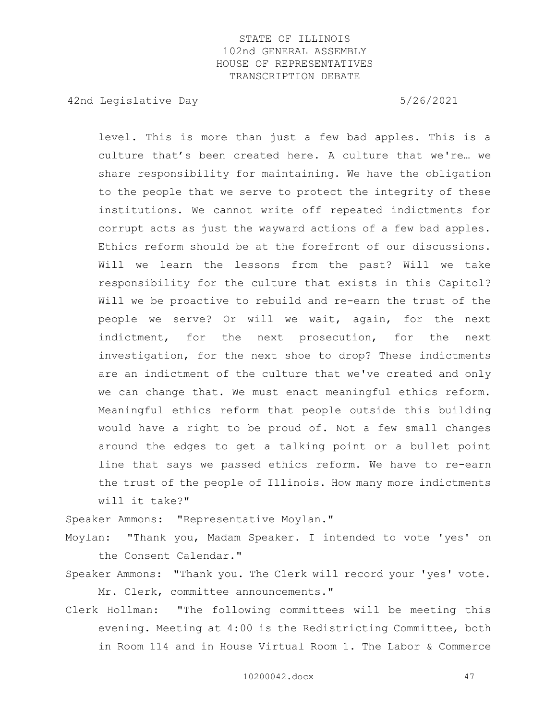42nd Legislative Day 6/26/2021

level. This is more than just a few bad apples. This is a culture that's been created here. A culture that we're… we share responsibility for maintaining. We have the obligation to the people that we serve to protect the integrity of these institutions. We cannot write off repeated indictments for corrupt acts as just the wayward actions of a few bad apples. Ethics reform should be at the forefront of our discussions. Will we learn the lessons from the past? Will we take responsibility for the culture that exists in this Capitol? Will we be proactive to rebuild and re-earn the trust of the people we serve? Or will we wait, again, for the next indictment, for the next prosecution, for the next investigation, for the next shoe to drop? These indictments are an indictment of the culture that we've created and only we can change that. We must enact meaningful ethics reform. Meaningful ethics reform that people outside this building would have a right to be proud of. Not a few small changes around the edges to get a talking point or a bullet point line that says we passed ethics reform. We have to re-earn the trust of the people of Illinois. How many more indictments will it take?"

Speaker Ammons: "Representative Moylan."

- Moylan: "Thank you, Madam Speaker. I intended to vote 'yes' on the Consent Calendar."
- Speaker Ammons: "Thank you. The Clerk will record your 'yes' vote. Mr. Clerk, committee announcements."
- Clerk Hollman: "The following committees will be meeting this evening. Meeting at 4:00 is the Redistricting Committee, both in Room 114 and in House Virtual Room 1. The Labor & Commerce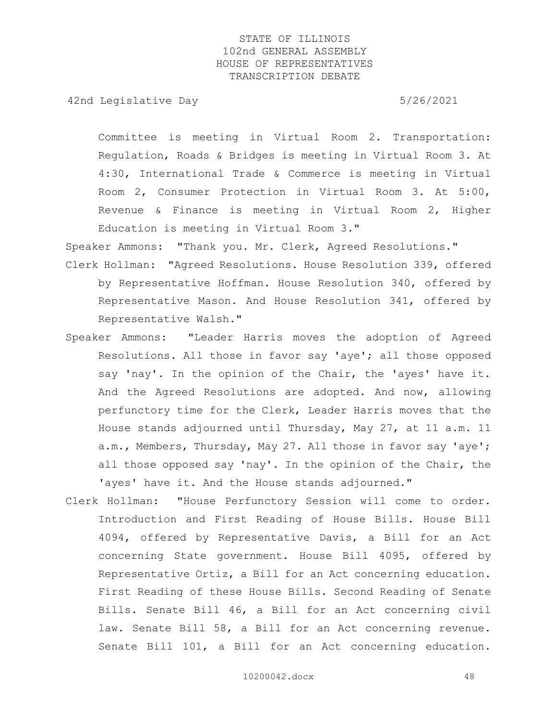42nd Legislative Day 6/26/2021

Committee is meeting in Virtual Room 2. Transportation: Regulation, Roads & Bridges is meeting in Virtual Room 3. At 4:30, International Trade & Commerce is meeting in Virtual Room 2, Consumer Protection in Virtual Room 3. At 5:00, Revenue & Finance is meeting in Virtual Room 2, Higher Education is meeting in Virtual Room 3."

Speaker Ammons: "Thank you. Mr. Clerk, Agreed Resolutions."

- Clerk Hollman: "Agreed Resolutions. House Resolution 339, offered by Representative Hoffman. House Resolution 340, offered by Representative Mason. And House Resolution 341, offered by Representative Walsh."
- Speaker Ammons: "Leader Harris moves the adoption of Agreed Resolutions. All those in favor say 'aye'; all those opposed say 'nay'. In the opinion of the Chair, the 'ayes' have it. And the Agreed Resolutions are adopted. And now, allowing perfunctory time for the Clerk, Leader Harris moves that the House stands adjourned until Thursday, May 27, at 11 a.m. 11 a.m., Members, Thursday, May 27. All those in favor say 'aye'; all those opposed say 'nay'. In the opinion of the Chair, the 'ayes' have it. And the House stands adjourned."
- Clerk Hollman: "House Perfunctory Session will come to order. Introduction and First Reading of House Bills. House Bill 4094, offered by Representative Davis, a Bill for an Act concerning State government. House Bill 4095, offered by Representative Ortiz, a Bill for an Act concerning education. First Reading of these House Bills. Second Reading of Senate Bills. Senate Bill 46, a Bill for an Act concerning civil law. Senate Bill 58, a Bill for an Act concerning revenue. Senate Bill 101, a Bill for an Act concerning education.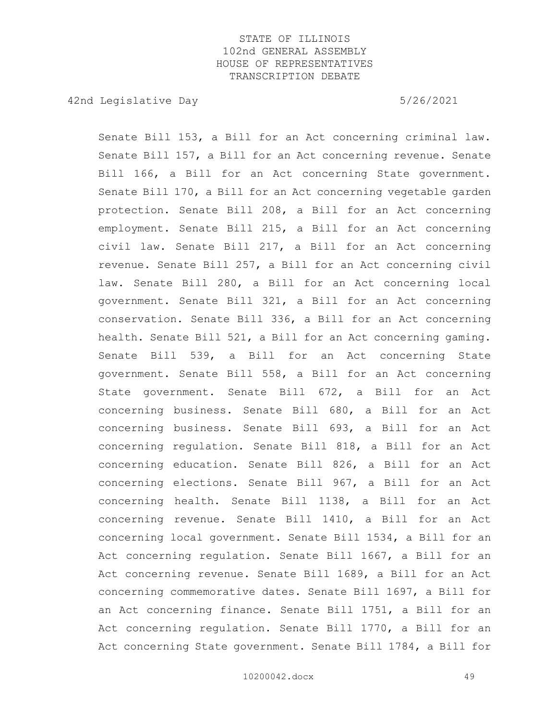42nd Legislative Day 6/26/2021

Senate Bill 153, a Bill for an Act concerning criminal law. Senate Bill 157, a Bill for an Act concerning revenue. Senate Bill 166, a Bill for an Act concerning State government. Senate Bill 170, a Bill for an Act concerning vegetable garden protection. Senate Bill 208, a Bill for an Act concerning employment. Senate Bill 215, a Bill for an Act concerning civil law. Senate Bill 217, a Bill for an Act concerning revenue. Senate Bill 257, a Bill for an Act concerning civil law. Senate Bill 280, a Bill for an Act concerning local government. Senate Bill 321, a Bill for an Act concerning conservation. Senate Bill 336, a Bill for an Act concerning health. Senate Bill 521, a Bill for an Act concerning gaming. Senate Bill 539, a Bill for an Act concerning State government. Senate Bill 558, a Bill for an Act concerning State government. Senate Bill 672, a Bill for an Act concerning business. Senate Bill 680, a Bill for an Act concerning business. Senate Bill 693, a Bill for an Act concerning regulation. Senate Bill 818, a Bill for an Act concerning education. Senate Bill 826, a Bill for an Act concerning elections. Senate Bill 967, a Bill for an Act concerning health. Senate Bill 1138, a Bill for an Act concerning revenue. Senate Bill 1410, a Bill for an Act concerning local government. Senate Bill 1534, a Bill for an Act concerning regulation. Senate Bill 1667, a Bill for an Act concerning revenue. Senate Bill 1689, a Bill for an Act concerning commemorative dates. Senate Bill 1697, a Bill for an Act concerning finance. Senate Bill 1751, a Bill for an Act concerning regulation. Senate Bill 1770, a Bill for an Act concerning State government. Senate Bill 1784, a Bill for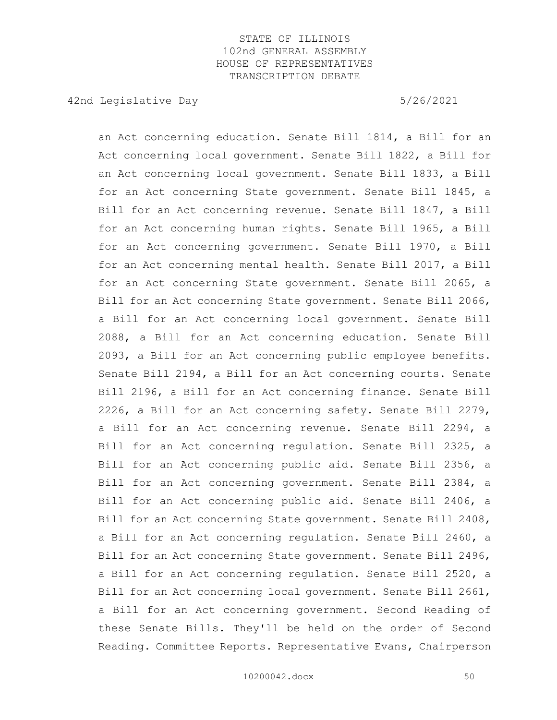42nd Legislative Day 6/26/2021

an Act concerning education. Senate Bill 1814, a Bill for an Act concerning local government. Senate Bill 1822, a Bill for an Act concerning local government. Senate Bill 1833, a Bill for an Act concerning State government. Senate Bill 1845, a Bill for an Act concerning revenue. Senate Bill 1847, a Bill for an Act concerning human rights. Senate Bill 1965, a Bill for an Act concerning government. Senate Bill 1970, a Bill for an Act concerning mental health. Senate Bill 2017, a Bill for an Act concerning State government. Senate Bill 2065, a Bill for an Act concerning State government. Senate Bill 2066, a Bill for an Act concerning local government. Senate Bill 2088, a Bill for an Act concerning education. Senate Bill 2093, a Bill for an Act concerning public employee benefits. Senate Bill 2194, a Bill for an Act concerning courts. Senate Bill 2196, a Bill for an Act concerning finance. Senate Bill 2226, a Bill for an Act concerning safety. Senate Bill 2279, a Bill for an Act concerning revenue. Senate Bill 2294, a Bill for an Act concerning regulation. Senate Bill 2325, a Bill for an Act concerning public aid. Senate Bill 2356, a Bill for an Act concerning government. Senate Bill 2384, a Bill for an Act concerning public aid. Senate Bill 2406, a Bill for an Act concerning State government. Senate Bill 2408, a Bill for an Act concerning regulation. Senate Bill 2460, a Bill for an Act concerning State government. Senate Bill 2496, a Bill for an Act concerning regulation. Senate Bill 2520, a Bill for an Act concerning local government. Senate Bill 2661, a Bill for an Act concerning government. Second Reading of these Senate Bills. They'll be held on the order of Second Reading. Committee Reports. Representative Evans, Chairperson